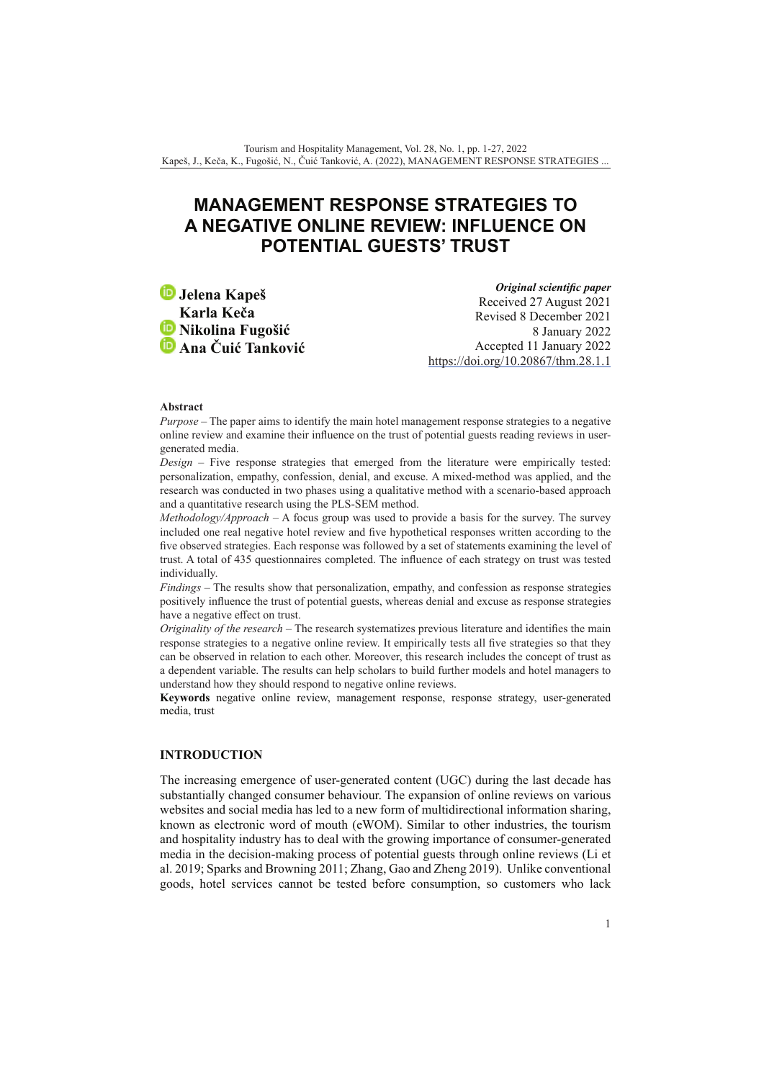# **MANAGEMENT RESPONSE STRATEGIES TO A NEGATIVE ONLINE REVIEW: INFLUENCE ON POTENTIAL GUESTS' TRUST**

**Jelena Kapeš** **Karla Keča** *D* Nikolina Fugošić **Ana Čuić Tanković**

*Original scientific paper* Received 27 August 2021 Revised 8 December 2021 8 January 2022 Accepted 11 January 2022 <https://doi.org/10.20867/thm.28.1.1>

#### **Abstract**

*Purpose* – The paper aims to identify the main hotel management response strategies to a negative online review and examine their influence on the trust of potential guests reading reviews in usergenerated media.

*Design* – Five response strategies that emerged from the literature were empirically tested: personalization, empathy, confession, denial, and excuse. A mixed-method was applied, and the research was conducted in two phases using a qualitative method with a scenario-based approach and a quantitative research using the PLS-SEM method.

*Methodology/Approach – A focus group was used to provide a basis for the survey. The survey* included one real negative hotel review and five hypothetical responses written according to the five observed strategies. Each response was followed by a set of statements examining the level of trust. A total of 435 questionnaires completed. The influence of each strategy on trust was tested individually.

*Findings* – The results show that personalization, empathy, and confession as response strategies positively influence the trust of potential guests, whereas denial and excuse as response strategies have a negative effect on trust.

*Originality of the research* – The research systematizes previous literature and identifies the main response strategies to a negative online review. It empirically tests all five strategies so that they can be observed in relation to each other. Moreover, this research includes the concept of trust as a dependent variable. The results can help scholars to build further models and hotel managers to understand how they should respond to negative online reviews.

**Keywords** negative online review, management response, response strategy, user-generated media, trust

# **INTRODUCTION**

The increasing emergence of user-generated content (UGC) during the last decade has substantially changed consumer behaviour. The expansion of online reviews on various websites and social media has led to a new form of multidirectional information sharing, known as electronic word of mouth (eWOM). Similar to other industries, the tourism and hospitality industry has to deal with the growing importance of consumer-generated media in the decision-making process of potential guests through online reviews (Li et al. 2019; Sparks and Browning 2011; Zhang, Gao and Zheng 2019). Unlike conventional goods, hotel services cannot be tested before consumption, so customers who lack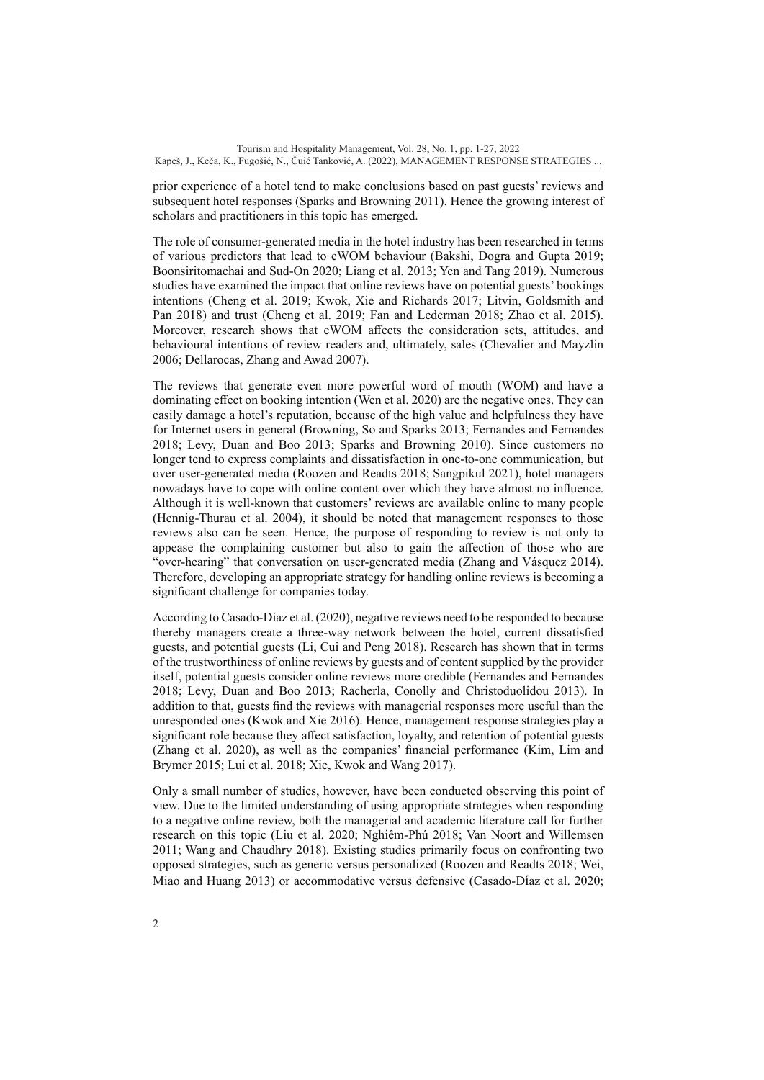prior experience of a hotel tend to make conclusions based on past guests' reviews and subsequent hotel responses (Sparks and Browning 2011). Hence the growing interest of scholars and practitioners in this topic has emerged.

The role of consumer-generated media in the hotel industry has been researched in terms of various predictors that lead to eWOM behaviour (Bakshi, Dogra and Gupta 2019; Boonsiritomachai and Sud-On 2020; Liang et al. 2013; Yen and Tang 2019). Numerous studies have examined the impact that online reviews have on potential guests' bookings intentions (Cheng et al. 2019; Kwok, Xie and Richards 2017; Litvin, Goldsmith and Pan 2018) and trust (Cheng et al. 2019; Fan and Lederman 2018; Zhao et al. 2015). Moreover, research shows that eWOM affects the consideration sets, attitudes, and behavioural intentions of review readers and, ultimately, sales (Chevalier and Mayzlin 2006; Dellarocas, Zhang and Awad 2007).

The reviews that generate even more powerful word of mouth (WOM) and have a dominating effect on booking intention (Wen et al. 2020) are the negative ones. They can easily damage a hotel's reputation, because of the high value and helpfulness they have for Internet users in general (Browning, So and Sparks 2013; Fernandes and Fernandes 2018; Levy, Duan and Boo 2013; Sparks and Browning 2010). Since customers no longer tend to express complaints and dissatisfaction in one-to-one communication, but over user-generated media (Roozen and Readts 2018; Sangpikul 2021), hotel managers nowadays have to cope with online content over which they have almost no influence. Although it is well-known that customers' reviews are available online to many people (Hennig-Thurau et al. 2004), it should be noted that management responses to those reviews also can be seen. Hence, the purpose of responding to review is not only to appease the complaining customer but also to gain the affection of those who are "over-hearing" that conversation on user-generated media (Zhang and Vásquez 2014). Therefore, developing an appropriate strategy for handling online reviews is becoming a significant challenge for companies today.

According to Casado-Díaz et al. (2020), negative reviews need to be responded to because thereby managers create a three-way network between the hotel, current dissatisfied guests, and potential guests (Li, Cui and Peng 2018). Research has shown that in terms of the trustworthiness of online reviews by guests and of content supplied by the provider itself, potential guests consider online reviews more credible (Fernandes and Fernandes 2018; Levy, Duan and Boo 2013; Racherla, Conolly and Christoduolidou 2013). In addition to that, guests find the reviews with managerial responses more useful than the unresponded ones (Kwok and Xie 2016). Hence, management response strategies play a significant role because they affect satisfaction, loyalty, and retention of potential guests (Zhang et al. 2020), as well as the companies' financial performance (Kim, Lim and Brymer 2015; Lui et al. 2018; Xie, Kwok and Wang 2017).

Only a small number of studies, however, have been conducted observing this point of view. Due to the limited understanding of using appropriate strategies when responding to a negative online review, both the managerial and academic literature call for further research on this topic (Liu et al. 2020; Nghiêm-Phú 2018; Van Noort and Willemsen 2011; Wang and Chaudhry 2018). Existing studies primarily focus on confronting two opposed strategies, such as generic versus personalized (Roozen and Readts 2018; Wei, Miao and Huang 2013) or accommodative versus defensive (Casado-Díaz et al. 2020;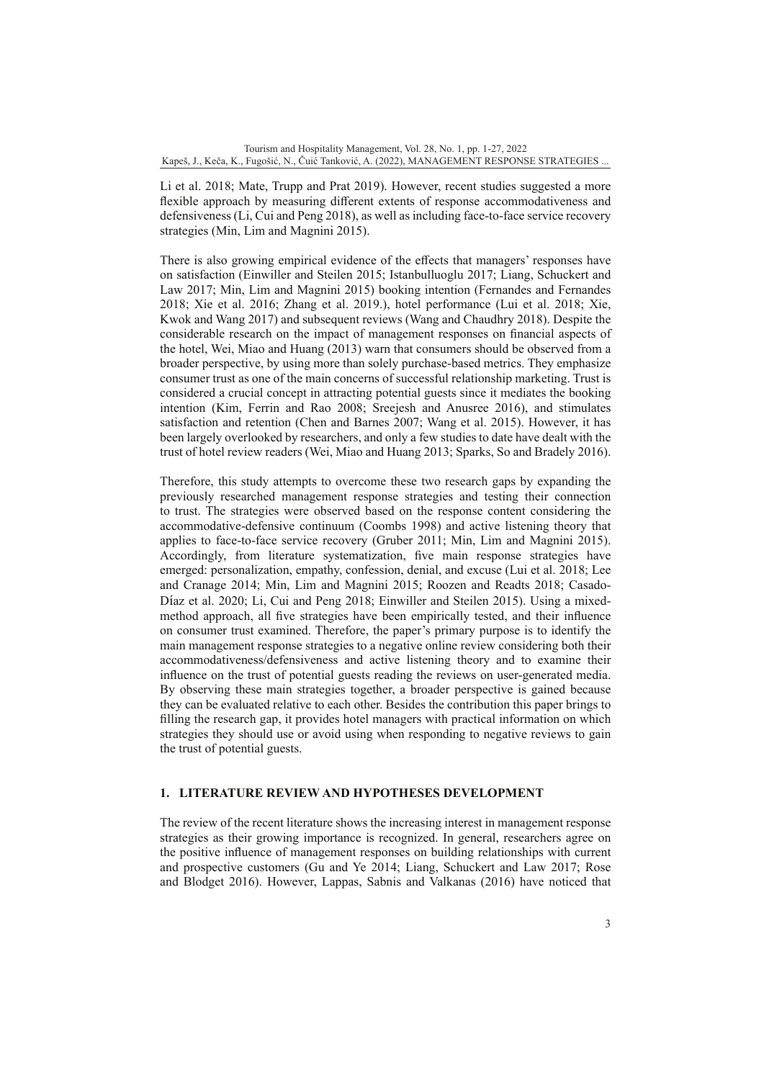Li et al. 2018; Mate, Trupp and Prat 2019). However, recent studies suggested a more flexible approach by measuring different extents of response accommodativeness and defensiveness (Li, Cui and Peng 2018), as well as including face-to-face service recovery strategies (Min, Lim and Magnini 2015).

There is also growing empirical evidence of the effects that managers' responses have on satisfaction (Einwiller and Steilen 2015; Istanbulluoglu 2017; Liang, Schuckert and Law 2017; Min, Lim and Magnini 2015) booking intention (Fernandes and Fernandes 2018; Xie et al. 2016; Zhang et al. 2019.), hotel performance (Lui et al. 2018; Xie, Kwok and Wang 2017) and subsequent reviews (Wang and Chaudhry 2018). Despite the considerable research on the impact of management responses on financial aspects of the hotel, Wei, Miao and Huang (2013) warn that consumers should be observed from a broader perspective, by using more than solely purchase-based metrics. They emphasize consumer trust as one of the main concerns of successful relationship marketing. Trust is considered a crucial concept in attracting potential guests since it mediates the booking intention (Kim, Ferrin and Rao 2008; Sreejesh and Anusree 2016), and stimulates satisfaction and retention (Chen and Barnes 2007; Wang et al. 2015). However, it has been largely overlooked by researchers, and only a few studies to date have dealt with the trust of hotel review readers (Wei, Miao and Huang 2013; Sparks, So and Bradely 2016).

Therefore, this study attempts to overcome these two research gaps by expanding the previously researched management response strategies and testing their connection to trust. The strategies were observed based on the response content considering the accommodative-defensive continuum (Coombs 1998) and active listening theory that applies to face-to-face service recovery (Gruber 2011; Min, Lim and Magnini 2015). Accordingly, from literature systematization, five main response strategies have emerged: personalization, empathy, confession, denial, and excuse (Lui et al. 2018; Lee and Cranage 2014; Min, Lim and Magnini 2015; Roozen and Readts 2018; Casado-Díaz et al. 2020; Li, Cui and Peng 2018; Einwiller and Steilen 2015). Using a mixedmethod approach, all five strategies have been empirically tested, and their influence on consumer trust examined. Therefore, the paper's primary purpose is to identify the main management response strategies to a negative online review considering both their accommodativeness/defensiveness and active listening theory and to examine their influence on the trust of potential guests reading the reviews on user-generated media. By observing these main strategies together, a broader perspective is gained because they can be evaluated relative to each other. Besides the contribution this paper brings to filling the research gap, it provides hotel managers with practical information on which strategies they should use or avoid using when responding to negative reviews to gain the trust of potential guests.

## **1. LITERATURE REVIEW AND HYPOTHESES DEVELOPMENT**

The review of the recent literature shows the increasing interest in management response strategies as their growing importance is recognized. In general, researchers agree on the positive influence of management responses on building relationships with current and prospective customers (Gu and Ye 2014; Liang, Schuckert and Law 2017; Rose and Blodget 2016). However, Lappas, Sabnis and Valkanas (2016) have noticed that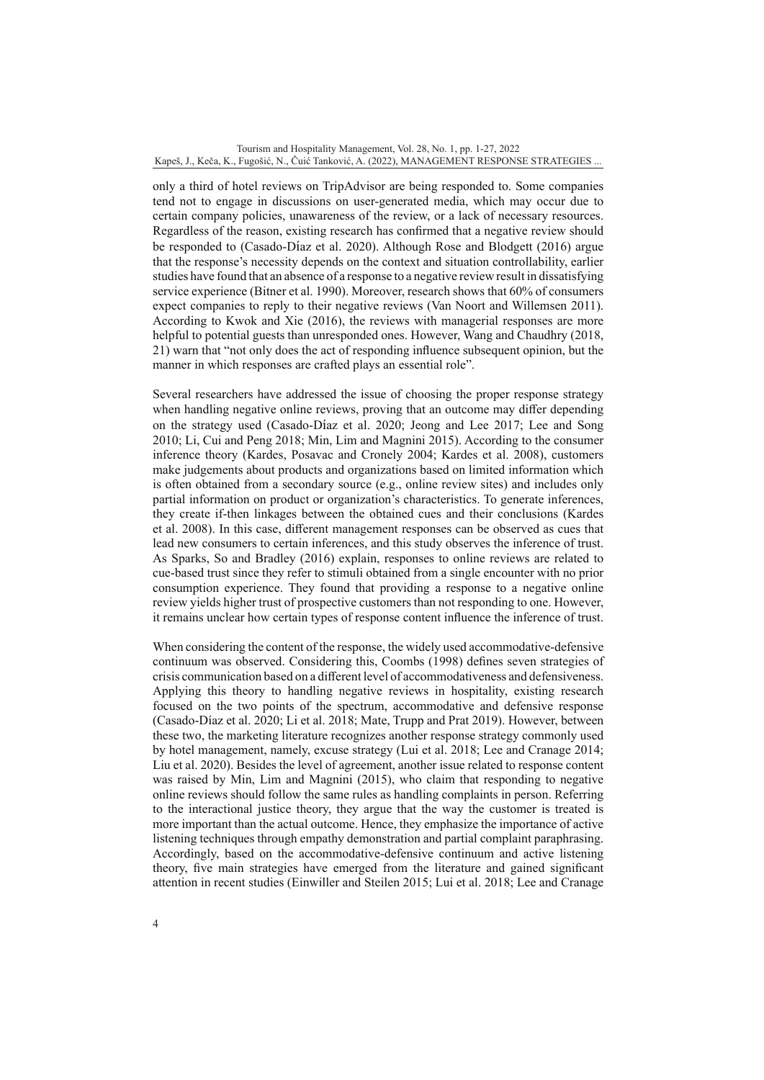only a third of hotel reviews on TripAdvisor are being responded to. Some companies tend not to engage in discussions on user-generated media, which may occur due to certain company policies, unawareness of the review, or a lack of necessary resources. Regardless of the reason, existing research has confirmed that a negative review should be responded to (Casado-Díaz et al. 2020). Although Rose and Blodgett (2016) argue that the response's necessity depends on the context and situation controllability, earlier studies have found that an absence of a response to a negative review result in dissatisfying service experience (Bitner et al. 1990). Moreover, research shows that 60% of consumers expect companies to reply to their negative reviews (Van Noort and Willemsen 2011). According to Kwok and Xie (2016), the reviews with managerial responses are more helpful to potential guests than unresponded ones. However, Wang and Chaudhry (2018, 21) warn that "not only does the act of responding influence subsequent opinion, but the manner in which responses are crafted plays an essential role".

Several researchers have addressed the issue of choosing the proper response strategy when handling negative online reviews, proving that an outcome may differ depending on the strategy used (Casado-Díaz et al. 2020; Jeong and Lee 2017; Lee and Song 2010; Li, Cui and Peng 2018; Min, Lim and Magnini 2015). According to the consumer inference theory (Kardes, Posavac and Cronely 2004; Kardes et al. 2008), customers make judgements about products and organizations based on limited information which is often obtained from a secondary source (e.g., online review sites) and includes only partial information on product or organization's characteristics. To generate inferences, they create if-then linkages between the obtained cues and their conclusions (Kardes et al. 2008). In this case, different management responses can be observed as cues that lead new consumers to certain inferences, and this study observes the inference of trust. As Sparks, So and Bradley (2016) explain, responses to online reviews are related to cue-based trust since they refer to stimuli obtained from a single encounter with no prior consumption experience. They found that providing a response to a negative online review yields higher trust of prospective customers than not responding to one. However, it remains unclear how certain types of response content influence the inference of trust.

When considering the content of the response, the widely used accommodative-defensive continuum was observed. Considering this, Coombs (1998) defines seven strategies of crisis communication based on a different level of accommodativeness and defensiveness. Applying this theory to handling negative reviews in hospitality, existing research focused on the two points of the spectrum, accommodative and defensive response (Casado-Díaz et al. 2020; Li et al. 2018; Mate, Trupp and Prat 2019). However, between these two, the marketing literature recognizes another response strategy commonly used by hotel management, namely, excuse strategy (Lui et al. 2018; Lee and Cranage 2014; Liu et al. 2020). Besides the level of agreement, another issue related to response content was raised by Min, Lim and Magnini (2015), who claim that responding to negative online reviews should follow the same rules as handling complaints in person. Referring to the interactional justice theory, they argue that the way the customer is treated is more important than the actual outcome. Hence, they emphasize the importance of active listening techniques through empathy demonstration and partial complaint paraphrasing. Accordingly, based on the accommodative-defensive continuum and active listening theory, five main strategies have emerged from the literature and gained significant attention in recent studies (Einwiller and Steilen 2015; Lui et al. 2018; Lee and Cranage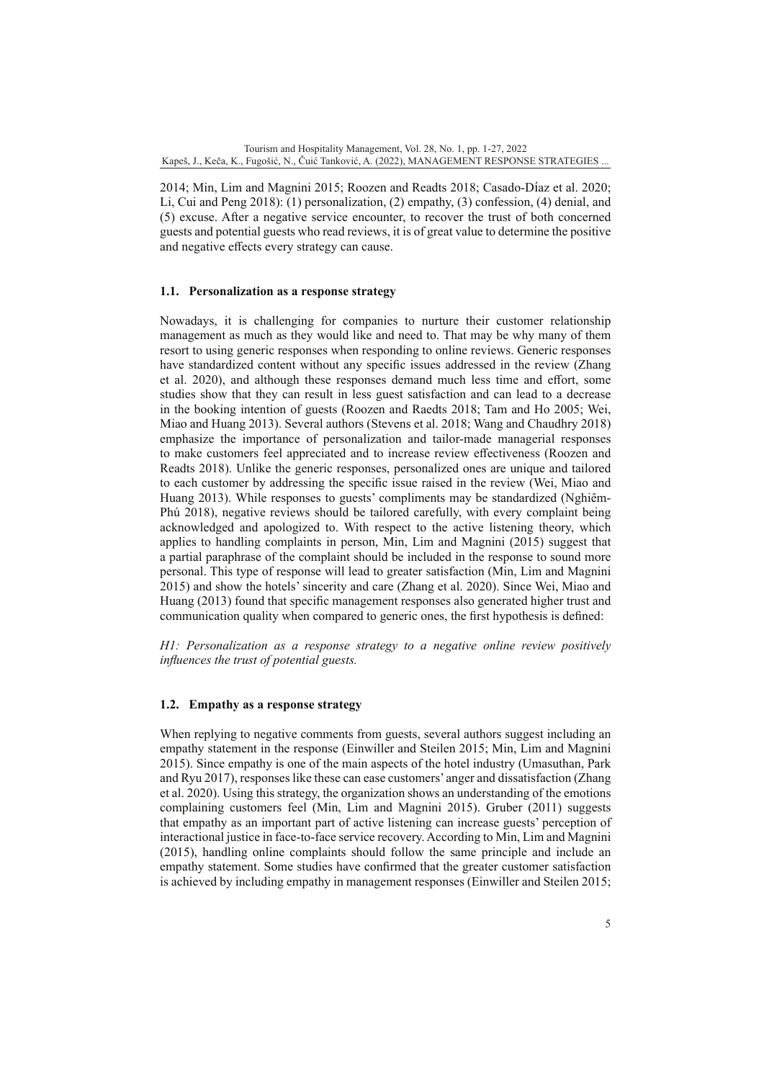2014; Min, Lim and Magnini 2015; Roozen and Readts 2018; Casado-Díaz et al. 2020; Li, Cui and Peng 2018): (1) personalization, (2) empathy, (3) confession, (4) denial, and (5) excuse. After a negative service encounter, to recover the trust of both concerned guests and potential guests who read reviews, it is of great value to determine the positive and negative effects every strategy can cause.

## **1.1. Personalization as a response strategy**

Nowadays, it is challenging for companies to nurture their customer relationship management as much as they would like and need to. That may be why many of them resort to using generic responses when responding to online reviews. Generic responses have standardized content without any specific issues addressed in the review (Zhang et al. 2020), and although these responses demand much less time and effort, some studies show that they can result in less guest satisfaction and can lead to a decrease in the booking intention of guests (Roozen and Raedts 2018; Tam and Ho 2005; Wei, Miao and Huang 2013). Several authors (Stevens et al. 2018; Wang and Chaudhry 2018) emphasize the importance of personalization and tailor-made managerial responses to make customers feel appreciated and to increase review effectiveness (Roozen and Readts 2018). Unlike the generic responses, personalized ones are unique and tailored to each customer by addressing the specific issue raised in the review (Wei, Miao and Huang 2013). While responses to guests' compliments may be standardized (Nghiêm-Phú 2018), negative reviews should be tailored carefully, with every complaint being acknowledged and apologized to. With respect to the active listening theory, which applies to handling complaints in person, Min, Lim and Magnini (2015) suggest that a partial paraphrase of the complaint should be included in the response to sound more personal. This type of response will lead to greater satisfaction (Min, Lim and Magnini 2015) and show the hotels' sincerity and care (Zhang et al. 2020). Since Wei, Miao and Huang (2013) found that specific management responses also generated higher trust and communication quality when compared to generic ones, the first hypothesis is defined:

*H1: Personalization as a response strategy to a negative online review positively influences the trust of potential guests.*

### **1.2. Empathy as a response strategy**

When replying to negative comments from guests, several authors suggest including an empathy statement in the response (Einwiller and Steilen 2015; Min, Lim and Magnini 2015). Since empathy is one of the main aspects of the hotel industry (Umasuthan, Park and Ryu 2017), responses like these can ease customers' anger and dissatisfaction (Zhang et al. 2020). Using this strategy, the organization shows an understanding of the emotions complaining customers feel (Min, Lim and Magnini 2015). Gruber (2011) suggests that empathy as an important part of active listening can increase guests' perception of interactional justice in face-to-face service recovery. According to Min, Lim and Magnini (2015), handling online complaints should follow the same principle and include an empathy statement. Some studies have confirmed that the greater customer satisfaction is achieved by including empathy in management responses (Einwiller and Steilen 2015;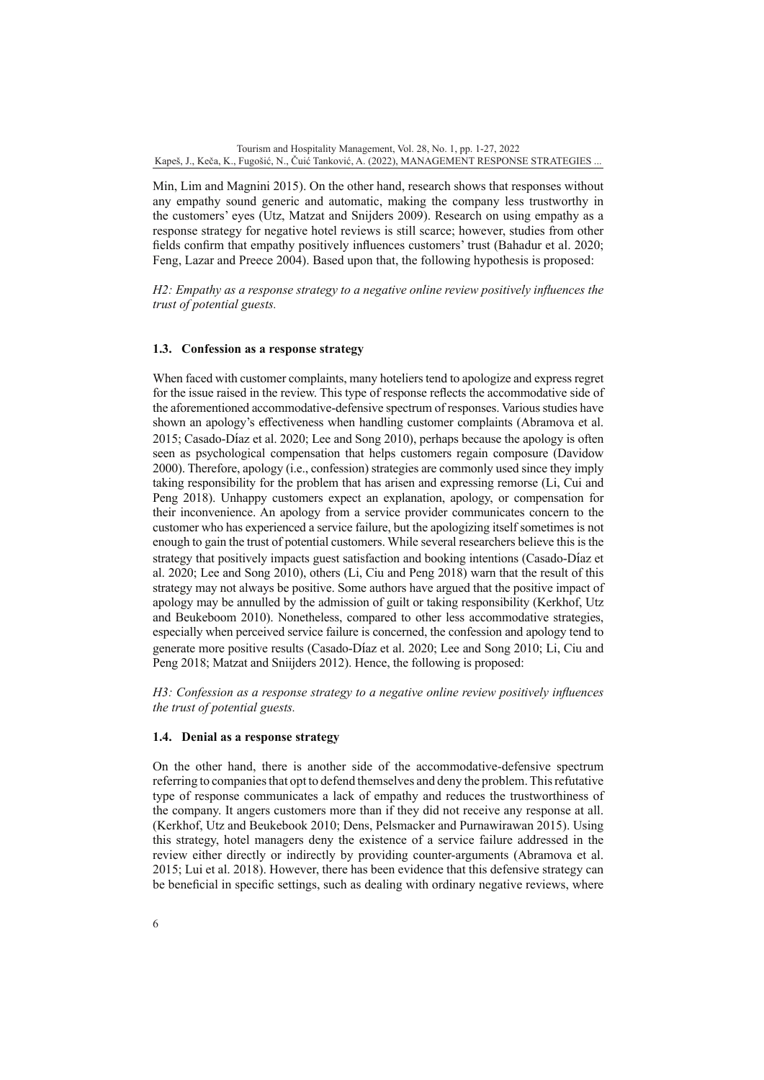Min, Lim and Magnini 2015). On the other hand, research shows that responses without any empathy sound generic and automatic, making the company less trustworthy in the customers' eyes (Utz, Matzat and Snijders 2009). Research on using empathy as a response strategy for negative hotel reviews is still scarce; however, studies from other fields confirm that empathy positively influences customers' trust (Bahadur et al. 2020; Feng, Lazar and Preece 2004). Based upon that, the following hypothesis is proposed:

*H2: Empathy as a response strategy to a negative online review positively influences the trust of potential guests.*

## **1.3. Confession as a response strategy**

When faced with customer complaints, many hoteliers tend to apologize and express regret for the issue raised in the review. This type of response reflects the accommodative side of the aforementioned accommodative-defensive spectrum of responses. Various studies have shown an apology's effectiveness when handling customer complaints (Abramova et al. 2015; Casado-Díaz et al. 2020; Lee and Song 2010), perhaps because the apology is often seen as psychological compensation that helps customers regain composure (Davidow 2000). Therefore, apology (i.e., confession) strategies are commonly used since they imply taking responsibility for the problem that has arisen and expressing remorse (Li, Cui and Peng 2018). Unhappy customers expect an explanation, apology, or compensation for their inconvenience. An apology from a service provider communicates concern to the customer who has experienced a service failure, but the apologizing itself sometimes is not enough to gain the trust of potential customers. While several researchers believe this is the strategy that positively impacts guest satisfaction and booking intentions (Casado-Díaz et al. 2020; Lee and Song 2010), others (Li, Ciu and Peng 2018) warn that the result of this strategy may not always be positive. Some authors have argued that the positive impact of apology may be annulled by the admission of guilt or taking responsibility (Kerkhof, Utz and Beukeboom 2010). Nonetheless, compared to other less accommodative strategies, especially when perceived service failure is concerned, the confession and apology tend to generate more positive results (Casado-Díaz et al. 2020; Lee and Song 2010; Li, Ciu and Peng 2018; Matzat and Sniijders 2012). Hence, the following is proposed:

*H3: Confession as a response strategy to a negative online review positively influences the trust of potential guests.*

### **1.4. Denial as a response strategy**

On the other hand, there is another side of the accommodative-defensive spectrum referring to companies that opt to defend themselves and deny the problem. This refutative type of response communicates a lack of empathy and reduces the trustworthiness of the company. It angers customers more than if they did not receive any response at all. (Kerkhof, Utz and Beukebook 2010; Dens, Pelsmacker and Purnawirawan 2015). Using this strategy, hotel managers deny the existence of a service failure addressed in the review either directly or indirectly by providing counter-arguments (Abramova et al. 2015; Lui et al. 2018). However, there has been evidence that this defensive strategy can be beneficial in specific settings, such as dealing with ordinary negative reviews, where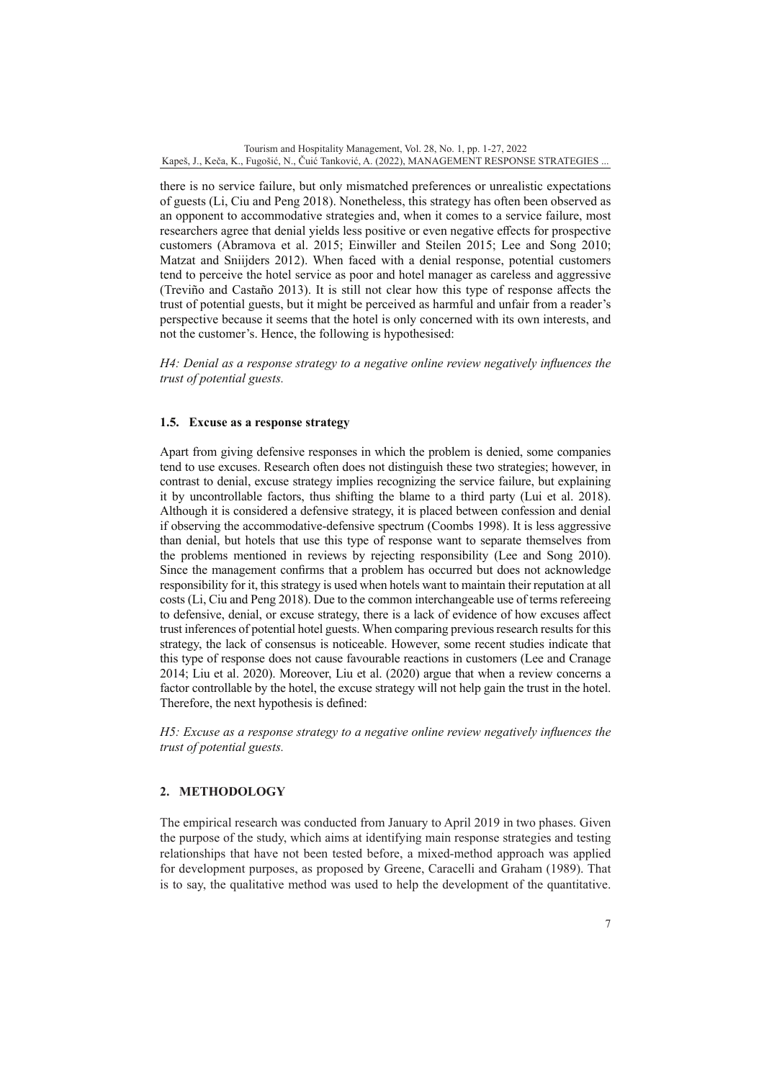there is no service failure, but only mismatched preferences or unrealistic expectations of guests (Li, Ciu and Peng 2018). Nonetheless, this strategy has often been observed as an opponent to accommodative strategies and, when it comes to a service failure, most researchers agree that denial yields less positive or even negative effects for prospective customers (Abramova et al. 2015; Einwiller and Steilen 2015; Lee and Song 2010; Matzat and Sniijders 2012). When faced with a denial response, potential customers tend to perceive the hotel service as poor and hotel manager as careless and aggressive (Treviño and Castaño 2013). It is still not clear how this type of response affects the trust of potential guests, but it might be perceived as harmful and unfair from a reader's perspective because it seems that the hotel is only concerned with its own interests, and not the customer's. Hence, the following is hypothesised:

*H4: Denial as a response strategy to a negative online review negatively influences the trust of potential guests.*

## **1.5. Excuse as a response strategy**

Apart from giving defensive responses in which the problem is denied, some companies tend to use excuses. Research often does not distinguish these two strategies; however, in contrast to denial, excuse strategy implies recognizing the service failure, but explaining it by uncontrollable factors, thus shifting the blame to a third party (Lui et al. 2018). Although it is considered a defensive strategy, it is placed between confession and denial if observing the accommodative-defensive spectrum (Coombs 1998). It is less aggressive than denial, but hotels that use this type of response want to separate themselves from the problems mentioned in reviews by rejecting responsibility (Lee and Song 2010). Since the management confirms that a problem has occurred but does not acknowledge responsibility for it, this strategy is used when hotels want to maintain their reputation at all costs (Li, Ciu and Peng 2018). Due to the common interchangeable use of terms refereeing to defensive, denial, or excuse strategy, there is a lack of evidence of how excuses affect trust inferences of potential hotel guests. When comparing previous research results for this strategy, the lack of consensus is noticeable. However, some recent studies indicate that this type of response does not cause favourable reactions in customers (Lee and Cranage 2014; Liu et al. 2020). Moreover, Liu et al. (2020) argue that when a review concerns a factor controllable by the hotel, the excuse strategy will not help gain the trust in the hotel. Therefore, the next hypothesis is defined:

*H5: Excuse as a response strategy to a negative online review negatively influences the trust of potential guests.*

## **2. METHODOLOGY**

The empirical research was conducted from January to April 2019 in two phases. Given the purpose of the study, which aims at identifying main response strategies and testing relationships that have not been tested before, a mixed-method approach was applied for development purposes, as proposed by Greene, Caracelli and Graham (1989). That is to say, the qualitative method was used to help the development of the quantitative.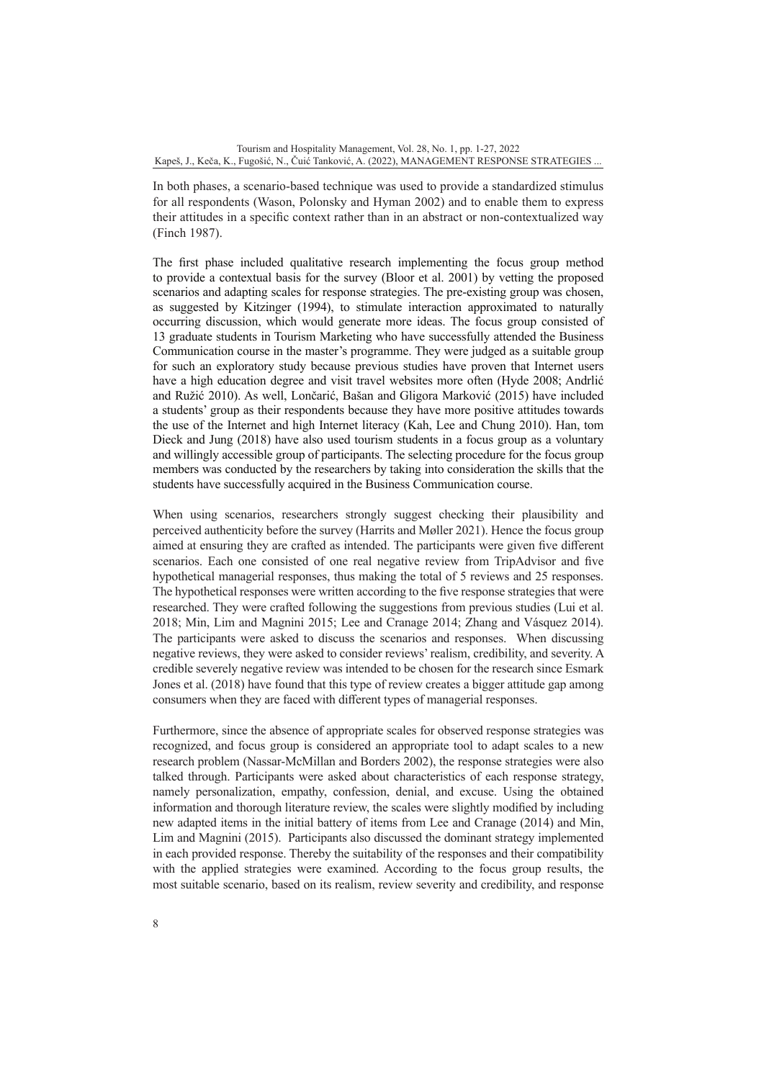In both phases, a scenario-based technique was used to provide a standardized stimulus for all respondents (Wason, Polonsky and Hyman 2002) and to enable them to express their attitudes in a specific context rather than in an abstract or non-contextualized way (Finch 1987).

The first phase included qualitative research implementing the focus group method to provide a contextual basis for the survey (Bloor et al. 2001) by vetting the proposed scenarios and adapting scales for response strategies. The pre-existing group was chosen, as suggested by Kitzinger (1994), to stimulate interaction approximated to naturally occurring discussion, which would generate more ideas. The focus group consisted of 13 graduate students in Tourism Marketing who have successfully attended the Business Communication course in the master's programme. They were judged as a suitable group for such an exploratory study because previous studies have proven that Internet users have a high education degree and visit travel websites more often (Hyde 2008; Andrlić and Ružić 2010). As well, Lončarić, Bašan and Gligora Marković (2015) have included a students' group as their respondents because they have more positive attitudes towards the use of the Internet and high Internet literacy (Kah, Lee and Chung 2010). Han, tom Dieck and Jung (2018) have also used tourism students in a focus group as a voluntary and willingly accessible group of participants. The selecting procedure for the focus group members was conducted by the researchers by taking into consideration the skills that the students have successfully acquired in the Business Communication course.

When using scenarios, researchers strongly suggest checking their plausibility and perceived authenticity before the survey (Harrits and Møller 2021). Hence the focus group aimed at ensuring they are crafted as intended. The participants were given five different scenarios. Each one consisted of one real negative review from TripAdvisor and five hypothetical managerial responses, thus making the total of 5 reviews and 25 responses. The hypothetical responses were written according to the five response strategies that were researched. They were crafted following the suggestions from previous studies (Lui et al. 2018; Min, Lim and Magnini 2015; Lee and Cranage 2014; Zhang and Vásquez 2014). The participants were asked to discuss the scenarios and responses. When discussing negative reviews, they were asked to consider reviews' realism, credibility, and severity. A credible severely negative review was intended to be chosen for the research since Esmark Jones et al. (2018) have found that this type of review creates a bigger attitude gap among consumers when they are faced with different types of managerial responses.

Furthermore, since the absence of appropriate scales for observed response strategies was recognized, and focus group is considered an appropriate tool to adapt scales to a new research problem (Nassar-McMillan and Borders 2002), the response strategies were also talked through. Participants were asked about characteristics of each response strategy, namely personalization, empathy, confession, denial, and excuse. Using the obtained information and thorough literature review, the scales were slightly modified by including new adapted items in the initial battery of items from Lee and Cranage (2014) and Min, Lim and Magnini (2015). Participants also discussed the dominant strategy implemented in each provided response. Thereby the suitability of the responses and their compatibility with the applied strategies were examined. According to the focus group results, the most suitable scenario, based on its realism, review severity and credibility, and response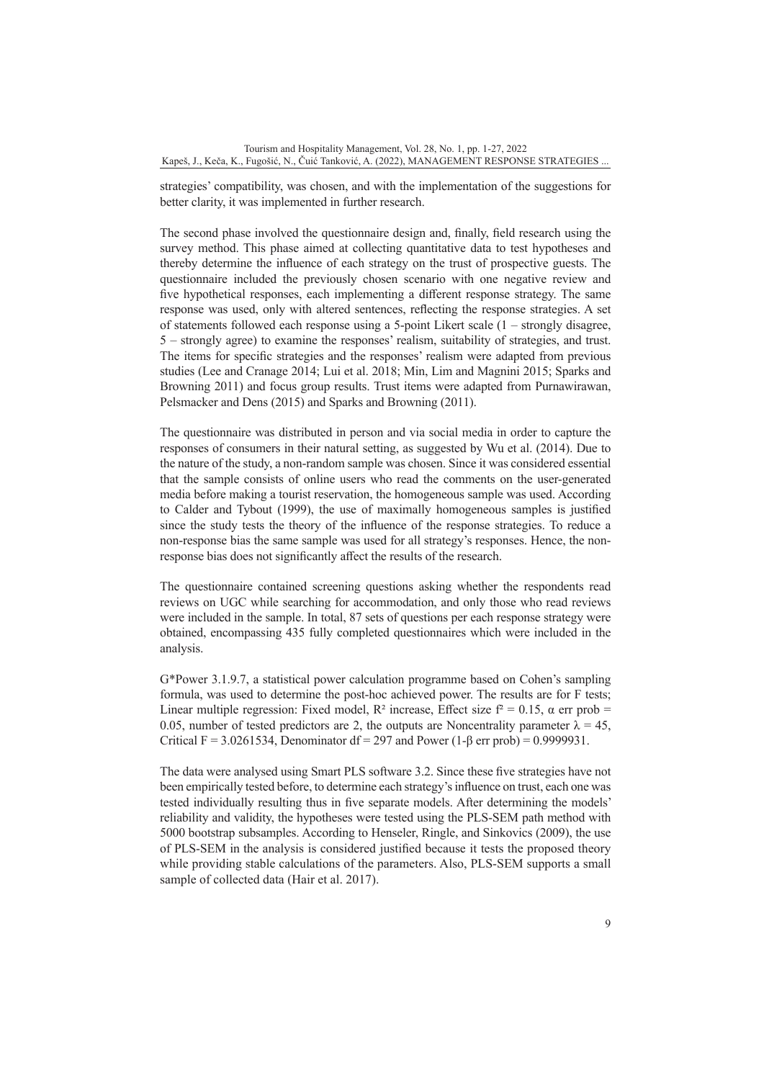strategies' compatibility, was chosen, and with the implementation of the suggestions for better clarity, it was implemented in further research.

The second phase involved the questionnaire design and, finally, field research using the survey method. This phase aimed at collecting quantitative data to test hypotheses and thereby determine the influence of each strategy on the trust of prospective guests. The questionnaire included the previously chosen scenario with one negative review and five hypothetical responses, each implementing a different response strategy. The same response was used, only with altered sentences, reflecting the response strategies. A set of statements followed each response using a 5-point Likert scale (1 – strongly disagree, 5 – strongly agree) to examine the responses' realism, suitability of strategies, and trust. The items for specific strategies and the responses' realism were adapted from previous studies (Lee and Cranage 2014; Lui et al. 2018; Min, Lim and Magnini 2015; Sparks and Browning 2011) and focus group results. Trust items were adapted from Purnawirawan, Pelsmacker and Dens (2015) and Sparks and Browning (2011).

The questionnaire was distributed in person and via social media in order to capture the responses of consumers in their natural setting, as suggested by Wu et al. (2014). Due to the nature of the study, a non-random sample was chosen. Since it was considered essential that the sample consists of online users who read the comments on the user-generated media before making a tourist reservation, the homogeneous sample was used. According to Calder and Tybout (1999), the use of maximally homogeneous samples is justified since the study tests the theory of the influence of the response strategies. To reduce a non-response bias the same sample was used for all strategy's responses. Hence, the nonresponse bias does not significantly affect the results of the research.

The questionnaire contained screening questions asking whether the respondents read reviews on UGC while searching for accommodation, and only those who read reviews were included in the sample. In total, 87 sets of questions per each response strategy were obtained, encompassing 435 fully completed questionnaires which were included in the analysis.

G\*Power 3.1.9.7, a statistical power calculation programme based on Cohen's sampling formula, was used to determine the post-hoc achieved power. The results are for F tests; Linear multiple regression: Fixed model,  $R^2$  increase, Effect size  $f^2 = 0.15$ ,  $\alpha$  err prob = 0.05, number of tested predictors are 2, the outputs are Noncentrality parameter  $\lambda = 45$ , Critical F = 3.0261534, Denominator df = 297 and Power (1- $\beta$  err prob) = 0.9999931.

The data were analysed using Smart PLS software 3.2. Since these five strategies have not been empirically tested before, to determine each strategy's influence on trust, each one was tested individually resulting thus in five separate models. After determining the models' reliability and validity, the hypotheses were tested using the PLS-SEM path method with 5000 bootstrap subsamples. According to Henseler, Ringle, and Sinkovics (2009), the use of PLS-SEM in the analysis is considered justified because it tests the proposed theory while providing stable calculations of the parameters. Also, PLS-SEM supports a small sample of collected data (Hair et al. 2017).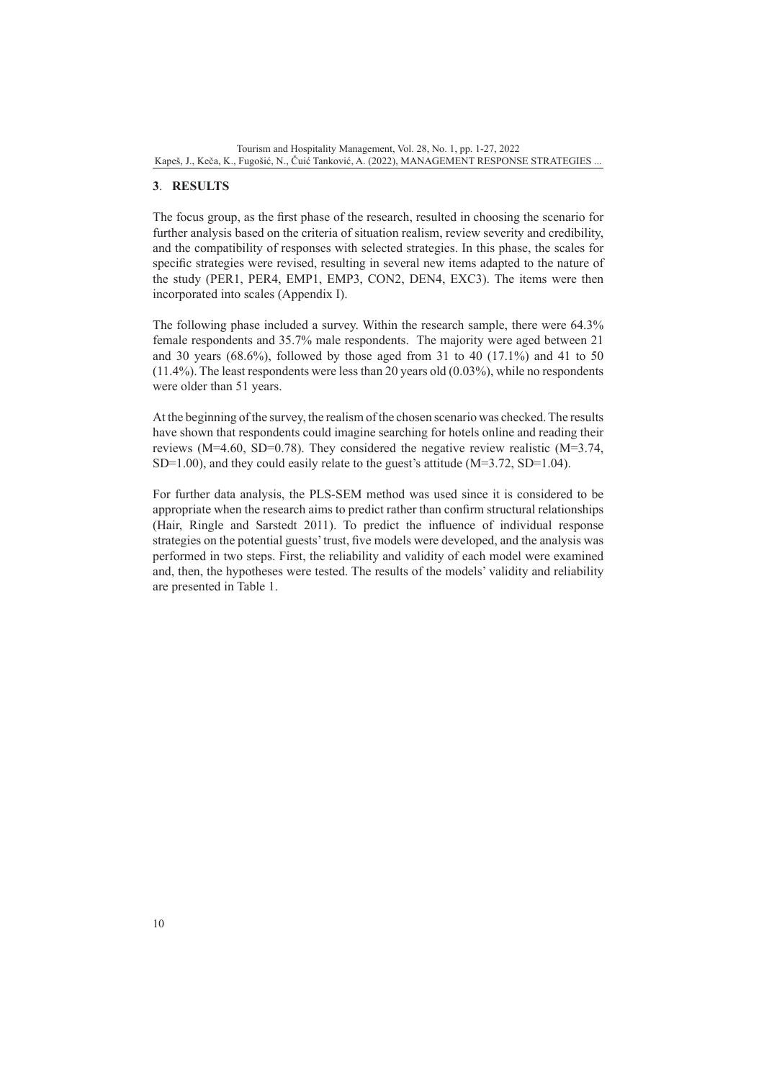## **3**. **RESULTS**

The focus group, as the first phase of the research, resulted in choosing the scenario for further analysis based on the criteria of situation realism, review severity and credibility, and the compatibility of responses with selected strategies. In this phase, the scales for specific strategies were revised, resulting in several new items adapted to the nature of the study (PER1, PER4, EMP1, EMP3, CON2, DEN4, EXC3). The items were then incorporated into scales (Appendix I).

The following phase included a survey. Within the research sample, there were 64.3% female respondents and 35.7% male respondents. The majority were aged between 21 and 30 years  $(68.6\%)$ , followed by those aged from 31 to 40  $(17.1\%)$  and 41 to 50 (11.4%). The least respondents were less than 20 years old (0.03%), while no respondents were older than 51 years.

At the beginning of the survey, the realism of the chosen scenario was checked. The results have shown that respondents could imagine searching for hotels online and reading their reviews (M=4.60, SD=0.78). They considered the negative review realistic (M=3.74, SD=1.00), and they could easily relate to the guest's attitude (M=3.72, SD=1.04).

For further data analysis, the PLS-SEM method was used since it is considered to be appropriate when the research aims to predict rather than confirm structural relationships (Hair, Ringle and Sarstedt 2011). To predict the influence of individual response strategies on the potential guests' trust, five models were developed, and the analysis was performed in two steps. First, the reliability and validity of each model were examined and, then, the hypotheses were tested. The results of the models' validity and reliability are presented in Table 1.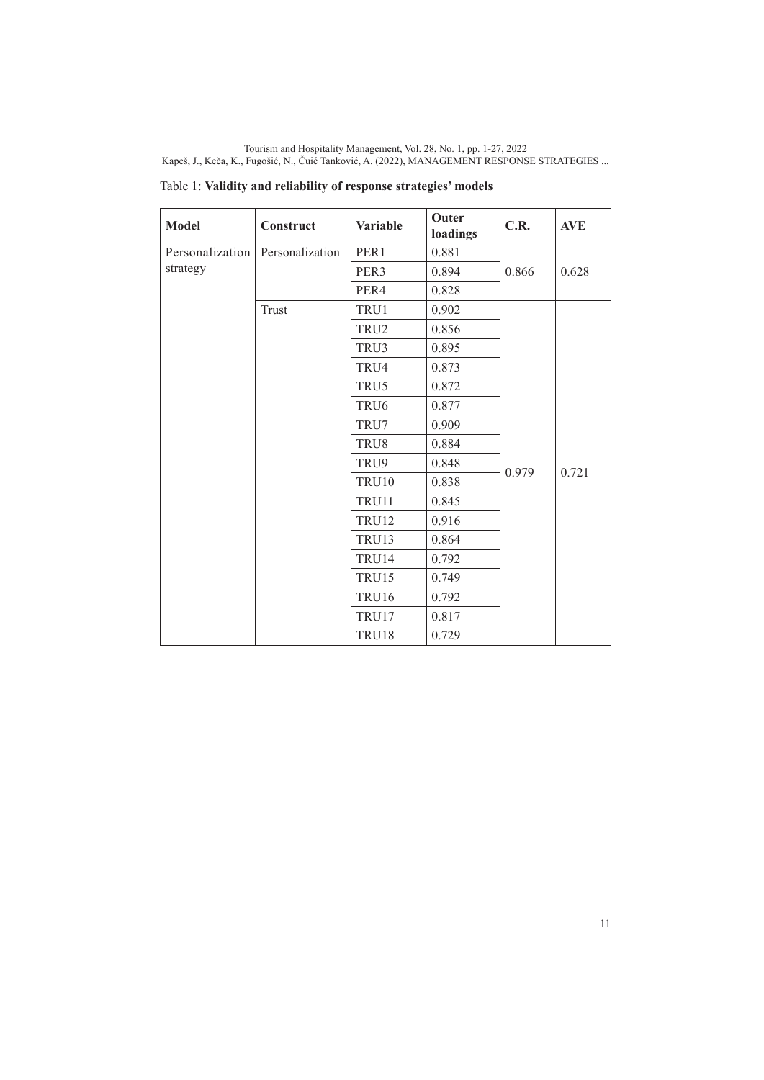| <b>Model</b>    | Construct       | <b>Variable</b>  | Outer<br>loadings | C.R.  | <b>AVE</b> |
|-----------------|-----------------|------------------|-------------------|-------|------------|
| Personalization | Personalization | PER1             | 0.881             |       |            |
| strategy        |                 | PER3             | 0.894             | 0.866 | 0.628      |
|                 |                 | PER4             | 0.828             |       |            |
|                 | Trust           | TRU1             | 0.902             |       |            |
|                 |                 | TRU <sub>2</sub> | 0.856             |       |            |
|                 |                 | TRU3             | 0.895             |       |            |
|                 |                 | TRU4             | 0.873             |       |            |
|                 |                 | TRU5             | 0.872             |       |            |
|                 |                 | TRU <sub>6</sub> | 0.877             |       |            |
|                 |                 | TRU7             | 0.909             |       |            |
|                 |                 | TRU8             | 0.884             |       |            |
|                 |                 | TRU9             | 0.848             |       |            |
|                 |                 | TRU10            | 0.838             | 0.979 | 0.721      |
|                 |                 | TRU11            | 0.845             |       |            |
|                 |                 | <b>TRU12</b>     | 0.916             |       |            |
|                 |                 | <b>TRU13</b>     | 0.864             |       |            |
|                 |                 | TRU14            | 0.792             |       |            |
|                 |                 | <b>TRU15</b>     | 0.749             |       |            |
|                 |                 | <b>TRU16</b>     | 0.792             |       |            |
|                 |                 | TRU17            | 0.817             |       |            |
|                 |                 | TRU18            | 0.729             |       |            |

Table 1: **Validity and reliability of response strategies' models**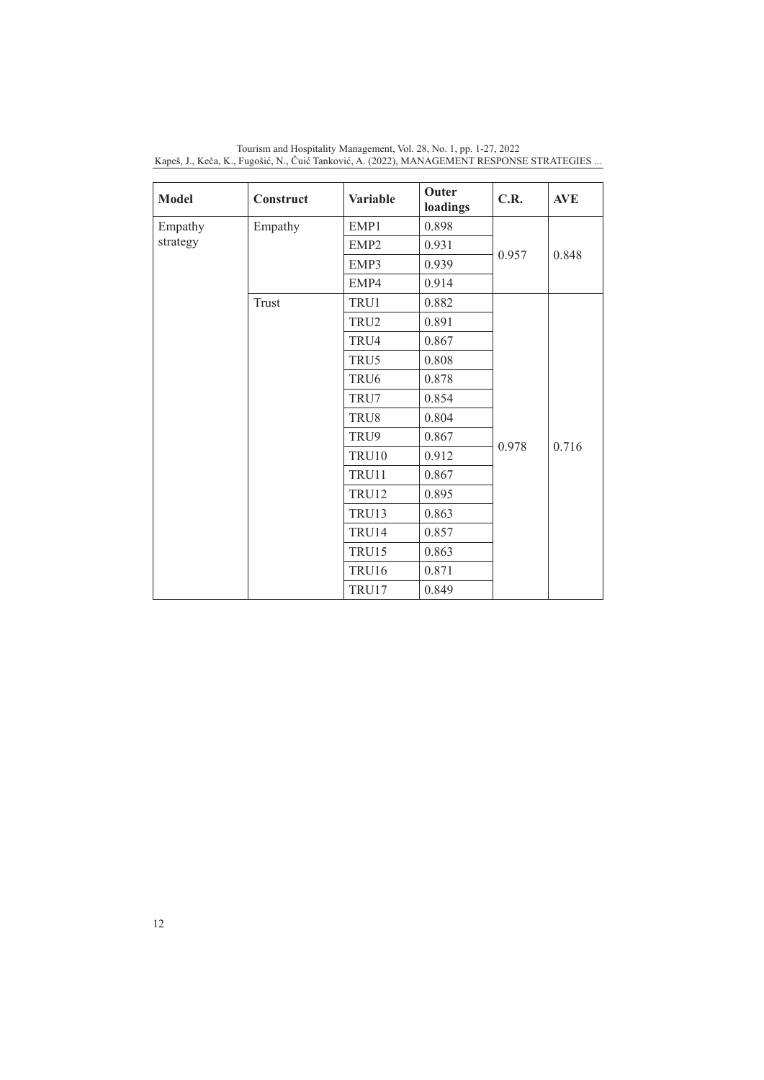| <b>Model</b> | Construct | <b>Variable</b>  | <b>Outer</b><br>loadings | C.R.  | <b>AVE</b> |
|--------------|-----------|------------------|--------------------------|-------|------------|
| Empathy      | Empathy   | EMP1             | 0.898                    |       |            |
| strategy     |           | EMP <sub>2</sub> | 0.931                    |       |            |
|              |           | EMP3             | 0.939                    | 0.957 | 0.848      |
|              |           | EMP4             | 0.914                    |       |            |
|              | Trust     | TRU1             | 0.882                    |       |            |
|              |           | TRU2             | 0.891                    |       |            |
|              |           | TRU4             | 0.867                    |       |            |
|              |           | TRU5             | 0.808                    |       |            |
|              |           | TRU <sub>6</sub> | 0.878                    |       |            |
|              |           | TRU7             | 0.854                    |       |            |
|              |           | TRU8             | 0.804                    |       |            |
|              |           | TRU9             | 0.867                    | 0.978 | 0.716      |
|              |           | <b>TRU10</b>     | 0.912                    |       |            |
|              |           | TRU11            | 0.867                    |       |            |
|              |           | <b>TRU12</b>     | 0.895                    |       |            |
|              |           | <b>TRU13</b>     | 0.863                    |       |            |
|              |           | TRU14            | 0.857                    |       |            |
|              |           | <b>TRU15</b>     | 0.863                    |       |            |
|              |           | <b>TRU16</b>     | 0.871                    |       |            |
|              |           | TRU17            | 0.849                    |       |            |

Tourism and Hospitality Management, Vol. 28, No. 1, pp. 1-27, 2022 Kapeš, J., Keča, K., Fugošić, N., Čuić Tanković, A. (2022), MANAGEMENT RESPONSE STRATEGIES ...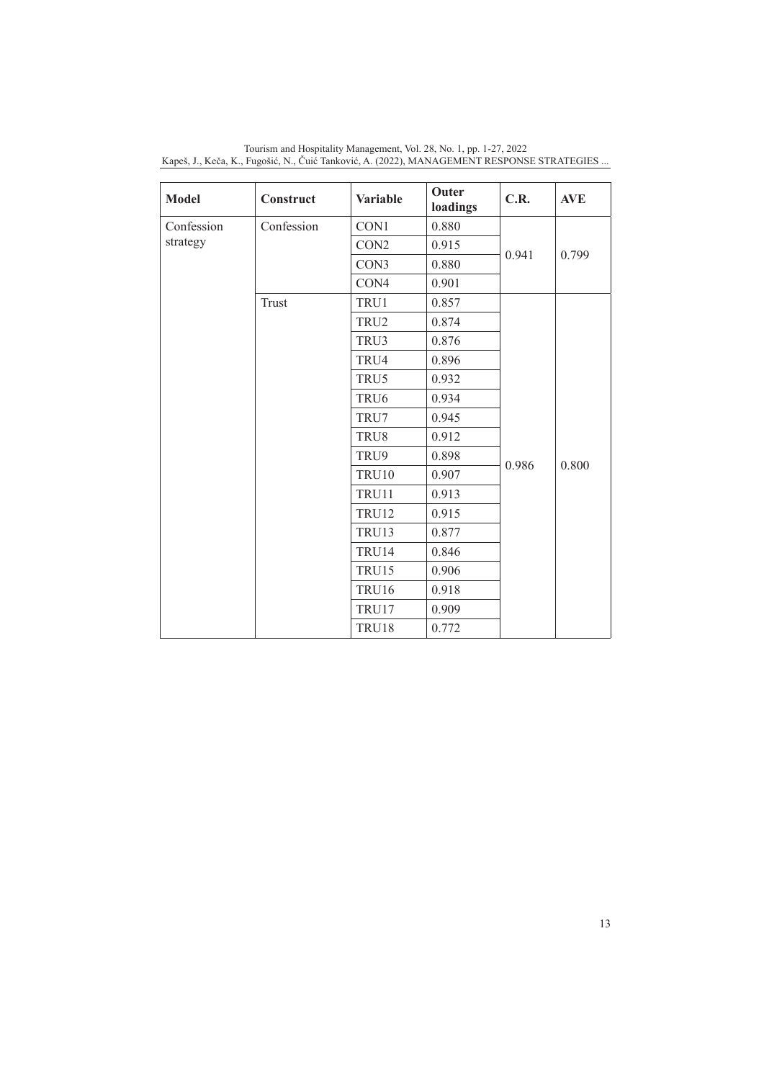| <b>Model</b> | Construct  | <b>Variable</b>  | Outer<br>loadings | C.R.  | <b>AVE</b> |
|--------------|------------|------------------|-------------------|-------|------------|
| Confession   | Confession | CON1             | 0.880             |       |            |
| strategy     |            | CON <sub>2</sub> | 0.915             | 0.941 | 0.799      |
|              |            | CON3             | 0.880             |       |            |
|              |            | CON4             | 0.901             |       |            |
|              | Trust      | TRU1             | 0.857             |       |            |
|              |            | TRU2             | 0.874             |       |            |
|              |            | TRU3             | 0.876             |       |            |
|              |            | TRU4             | 0.896             |       |            |
|              |            | TRU5             | 0.932             |       |            |
|              |            | TRU6             | 0.934             |       |            |
|              |            | TRU7             | 0.945             |       |            |
|              |            | TRU8             | 0.912             |       |            |
|              |            | TRU9             | 0.898             | 0.986 | 0.800      |
|              |            | <b>TRU10</b>     | 0.907             |       |            |
|              |            | TRU11            | 0.913             |       |            |
|              |            | <b>TRU12</b>     | 0.915             |       |            |
|              |            | TRU13            | 0.877             |       |            |
|              |            | TRU14            | 0.846             |       |            |
|              |            | <b>TRU15</b>     | 0.906             |       |            |
|              |            | TRU16            | 0.918             |       |            |
|              |            | TRU17            | 0.909             |       |            |
|              |            | TRU18            | 0.772             |       |            |

Tourism and Hospitality Management, Vol. 28, No. 1, pp. 1-27, 2022 Kapeš, J., Keča, K., Fugošić, N., Čuić Tanković, A. (2022), MANAGEMENT RESPONSE STRATEGIES ...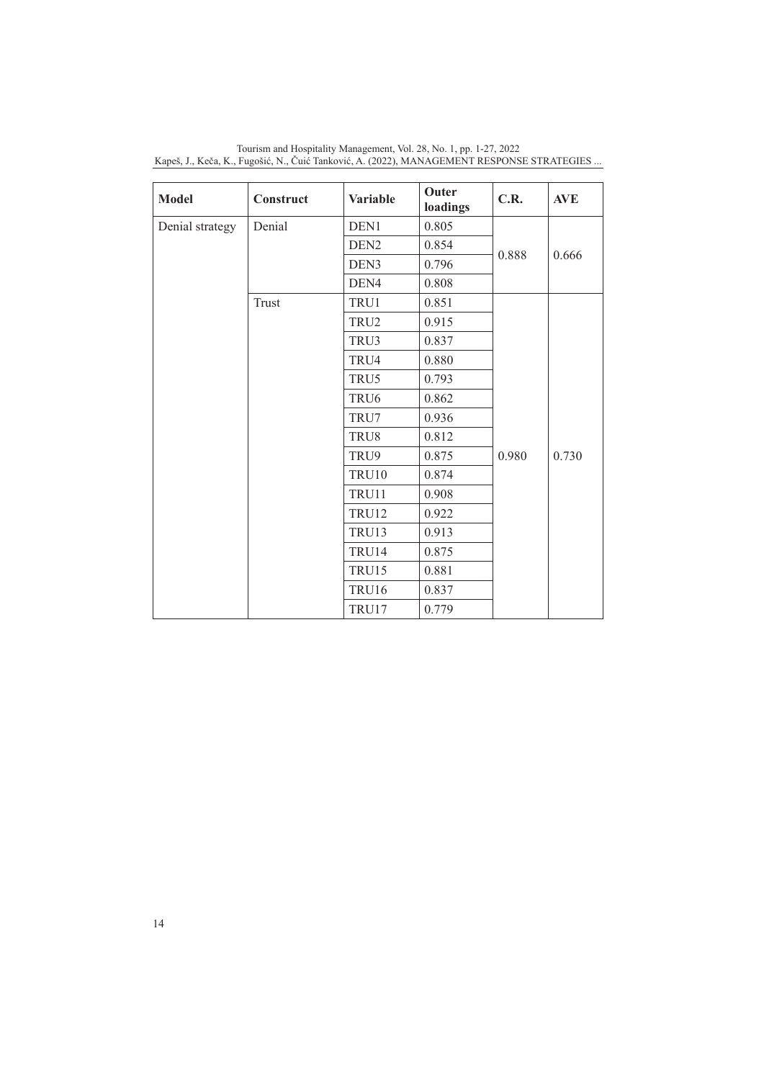| <b>Model</b>    | Construct | <b>Variable</b>  | Outer<br>loadings | C.R.  | <b>AVE</b> |
|-----------------|-----------|------------------|-------------------|-------|------------|
| Denial strategy | Denial    | DEN1             | 0.805             |       |            |
|                 |           | DEN <sub>2</sub> | 0.854             |       |            |
|                 |           | DEN3             | 0.796             | 0.888 | 0.666      |
|                 |           | DEN4             | 0.808             |       |            |
|                 | Trust     | TRU1             | 0.851             |       |            |
|                 |           | TRU <sub>2</sub> | 0.915             |       |            |
|                 |           | TRU3             | 0.837             |       |            |
|                 |           | TRU4             | 0.880             |       |            |
|                 |           | TRU5             | 0.793             |       |            |
|                 |           | TRU <sub>6</sub> | 0.862             |       |            |
|                 |           | TRU7             | 0.936             |       |            |
|                 |           | TRU8             | 0.812             |       |            |
|                 |           | TRU9             | 0.875             | 0.980 | 0.730      |
|                 |           | <b>TRU10</b>     | 0.874             |       |            |
|                 |           | TRU11            | 0.908             |       |            |
|                 |           | <b>TRU12</b>     | 0.922             |       |            |
|                 |           | <b>TRU13</b>     | 0.913             |       |            |
|                 |           | TRU14            | 0.875             |       |            |
|                 |           | <b>TRU15</b>     | 0.881             |       |            |
|                 |           | TRU16            | 0.837             |       |            |
|                 |           | TRU17            | 0.779             |       |            |

Tourism and Hospitality Management, Vol. 28, No. 1, pp. 1-27, 2022 Kapeš, J., Keča, K., Fugošić, N., Čuić Tanković, A. (2022), MANAGEMENT RESPONSE STRATEGIES ...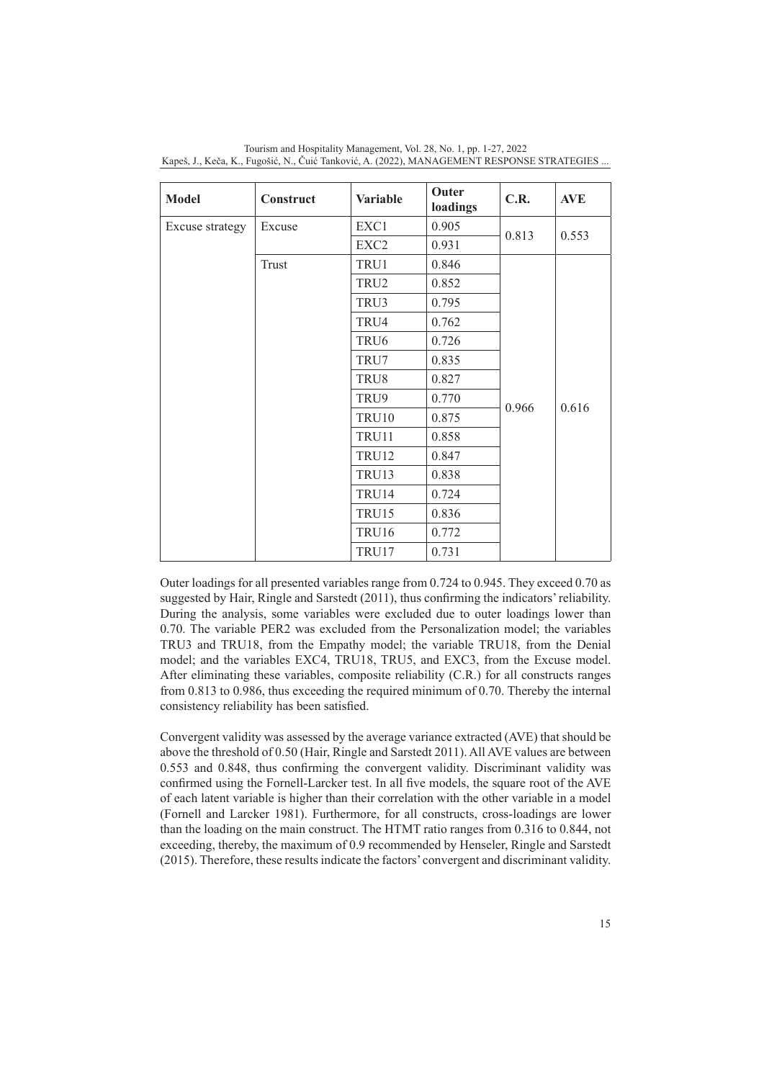| <b>Model</b>    | Construct | <b>Variable</b>  | <b>Outer</b><br>loadings | C.R.  | <b>AVE</b> |
|-----------------|-----------|------------------|--------------------------|-------|------------|
| Excuse strategy | Excuse    | EXC1             | 0.905                    |       |            |
|                 |           | EXC2             | 0.931                    | 0.813 | 0.553      |
|                 | Trust     | TRU1             | 0.846                    |       |            |
|                 |           | TRU2             | 0.852                    |       |            |
|                 |           | TRU3             | 0.795                    |       |            |
|                 |           | TRU4             | 0.762                    |       |            |
|                 |           | TRU <sub>6</sub> | 0.726                    |       |            |
|                 |           | TRU7             | 0.835                    |       |            |
|                 |           | TRU8             | 0.827                    |       |            |
|                 |           | TRU9             | 0.770                    | 0.966 | 0.616      |
|                 |           | <b>TRU10</b>     | 0.875                    |       |            |
|                 |           | TRU11            | 0.858                    |       |            |
|                 |           | <b>TRU12</b>     | 0.847                    |       |            |
|                 |           | <b>TRU13</b>     | 0.838                    |       |            |
|                 |           | TRU14            | 0.724                    |       |            |
|                 |           | <b>TRU15</b>     | 0.836                    |       |            |
|                 |           | <b>TRU16</b>     | 0.772                    |       |            |
|                 |           | TRU17            | 0.731                    |       |            |

Tourism and Hospitality Management, Vol. 28, No. 1, pp. 1-27, 2022 Kapeš, J., Keča, K., Fugošić, N., Čuić Tanković, A. (2022), MANAGEMENT RESPONSE STRATEGIES ...

Outer loadings for all presented variables range from 0.724 to 0.945. They exceed 0.70 as suggested by Hair, Ringle and Sarstedt (2011), thus confirming the indicators' reliability. During the analysis, some variables were excluded due to outer loadings lower than 0.70. The variable PER2 was excluded from the Personalization model; the variables TRU3 and TRU18, from the Empathy model; the variable TRU18, from the Denial model; and the variables EXC4, TRU18, TRU5, and EXC3, from the Excuse model. After eliminating these variables, composite reliability (C.R.) for all constructs ranges from 0.813 to 0.986, thus exceeding the required minimum of 0.70. Thereby the internal consistency reliability has been satisfied.

Convergent validity was assessed by the average variance extracted (AVE) that should be above the threshold of 0.50 (Hair, Ringle and Sarstedt 2011). All AVE values are between 0.553 and 0.848, thus confirming the convergent validity. Discriminant validity was confirmed using the Fornell-Larcker test. In all five models, the square root of the AVE of each latent variable is higher than their correlation with the other variable in a model (Fornell and Larcker 1981). Furthermore, for all constructs, cross-loadings are lower than the loading on the main construct. The HTMT ratio ranges from 0.316 to 0.844, not exceeding, thereby, the maximum of 0.9 recommended by Henseler, Ringle and Sarstedt (2015). Therefore, these results indicate the factors' convergent and discriminant validity.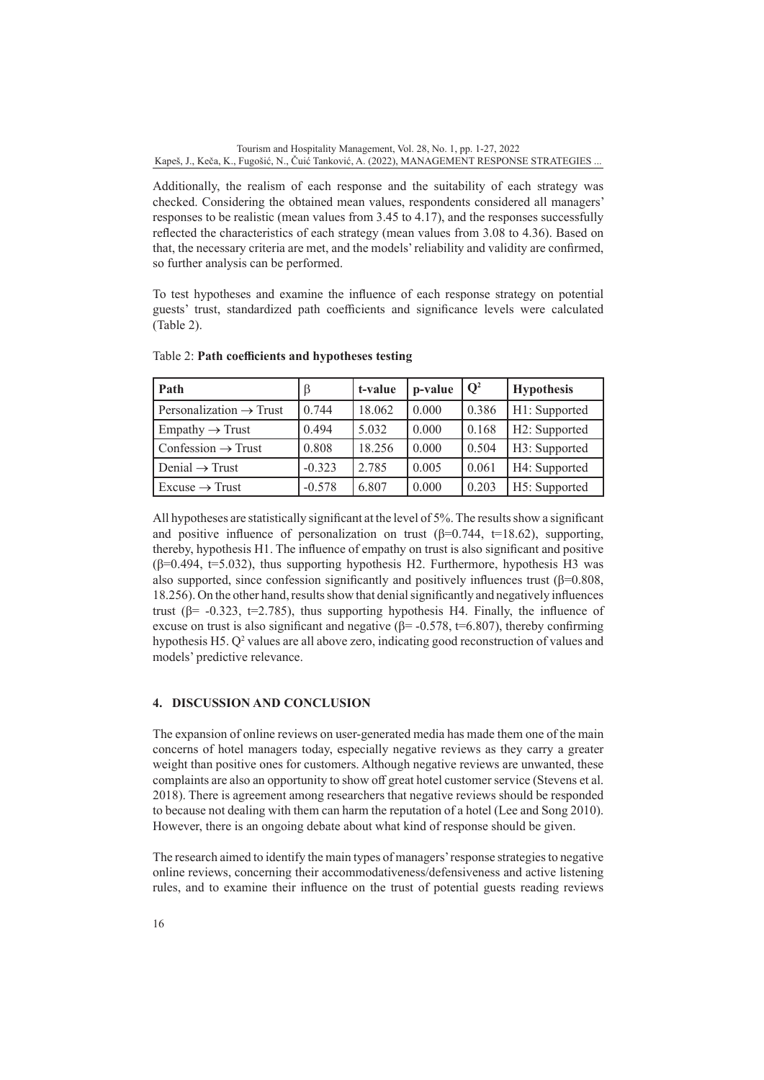Additionally, the realism of each response and the suitability of each strategy was checked. Considering the obtained mean values, respondents considered all managers' responses to be realistic (mean values from 3.45 to 4.17), and the responses successfully reflected the characteristics of each strategy (mean values from 3.08 to 4.36). Based on that, the necessary criteria are met, and the models' reliability and validity are confirmed, so further analysis can be performed.

To test hypotheses and examine the influence of each response strategy on potential guests' trust, standardized path coefficients and significance levels were calculated (Table 2).

| Path                                | $\beta$  | t-value | p-value | $\overline{Q^2}$ | <b>Hypothesis</b> |
|-------------------------------------|----------|---------|---------|------------------|-------------------|
| Personalization $\rightarrow$ Trust | 0.744    | 18.062  | 0.000   | 0.386            | H1: Supported     |
| $Empathy \rightarrow Trust$         | 0.494    | 5.032   | 0.000   | 0.168            | H2: Supported     |
| Confession $\rightarrow$ Trust      | 0.808    | 18.256  | 0.000   | 0.504            | H3: Supported     |
| Denial $\rightarrow$ Trust          | $-0.323$ | 2.785   | 0.005   | 0.061            | H4: Supported     |
| $Excuse \rightarrow Trust$          | $-0.578$ | 6.807   | 0.000   | 0.203            | H5: Supported     |

Table 2: **Path coefficients and hypotheses testing**

All hypotheses are statistically significant at the level of 5%. The results show a significant and positive influence of personalization on trust  $(\beta=0.744, t=18.62)$ , supporting, thereby, hypothesis H1. The influence of empathy on trust is also significant and positive  $(\beta=0.494, t=5.032)$ , thus supporting hypothesis H2. Furthermore, hypothesis H3 was also supported, since confession significantly and positively influences trust  $(\beta=0.808,$ 18.256). On the other hand, results show that denial significantly and negatively influences trust ( $\beta$ = -0.323, t=2.785), thus supporting hypothesis H4. Finally, the influence of excuse on trust is also significant and negative  $(6=$  -0.578, t=6.807), thereby confirming hypothesis  $H_2$ .  $Q^2$  values are all above zero, indicating good reconstruction of values and models' predictive relevance.

## **4. DISCUSSION AND CONCLUSION**

The expansion of online reviews on user-generated media has made them one of the main concerns of hotel managers today, especially negative reviews as they carry a greater weight than positive ones for customers. Although negative reviews are unwanted, these complaints are also an opportunity to show off great hotel customer service (Stevens et al. 2018). There is agreement among researchers that negative reviews should be responded to because not dealing with them can harm the reputation of a hotel (Lee and Song 2010). However, there is an ongoing debate about what kind of response should be given.

The research aimed to identify the main types of managers' response strategies to negative online reviews, concerning their accommodativeness/defensiveness and active listening rules, and to examine their influence on the trust of potential guests reading reviews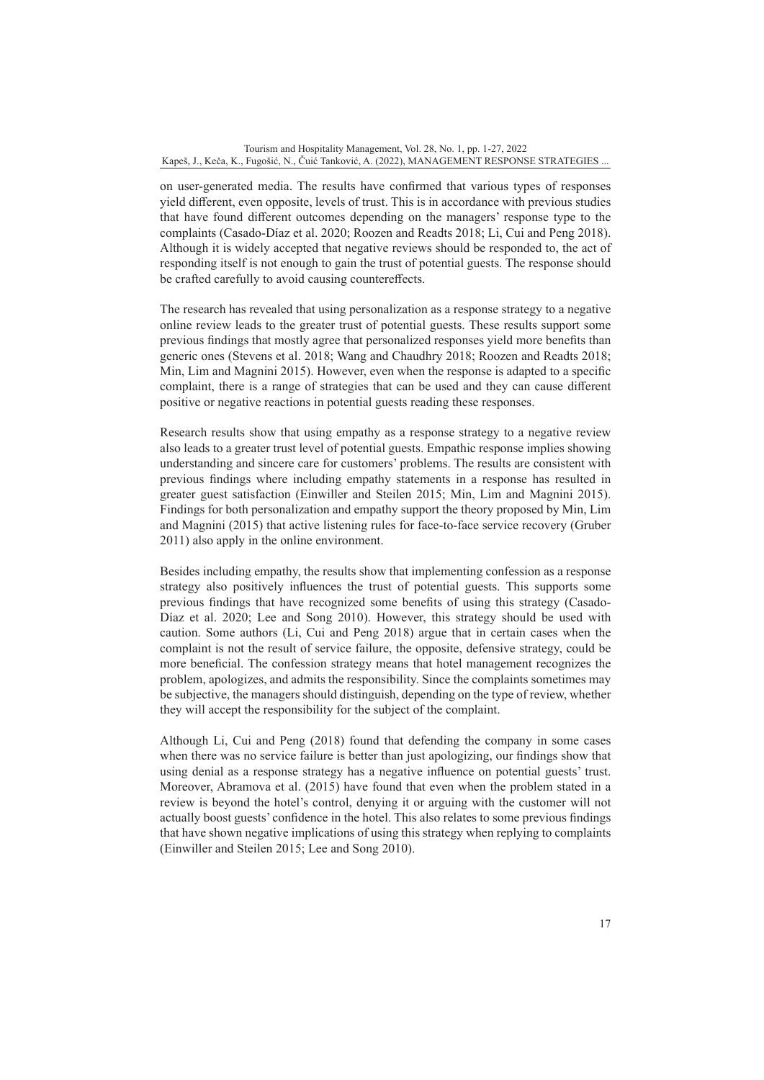on user-generated media. The results have confirmed that various types of responses yield different, even opposite, levels of trust. This is in accordance with previous studies that have found different outcomes depending on the managers' response type to the complaints (Casado-Díaz et al. 2020; Roozen and Readts 2018; Li, Cui and Peng 2018). Although it is widely accepted that negative reviews should be responded to, the act of responding itself is not enough to gain the trust of potential guests. The response should be crafted carefully to avoid causing countereffects.

The research has revealed that using personalization as a response strategy to a negative online review leads to the greater trust of potential guests. These results support some previous findings that mostly agree that personalized responses yield more benefits than generic ones (Stevens et al. 2018; Wang and Chaudhry 2018; Roozen and Readts 2018; Min, Lim and Magnini 2015). However, even when the response is adapted to a specific complaint, there is a range of strategies that can be used and they can cause different positive or negative reactions in potential guests reading these responses.

Research results show that using empathy as a response strategy to a negative review also leads to a greater trust level of potential guests. Empathic response implies showing understanding and sincere care for customers' problems. The results are consistent with previous findings where including empathy statements in a response has resulted in greater guest satisfaction (Einwiller and Steilen 2015; Min, Lim and Magnini 2015). Findings for both personalization and empathy support the theory proposed by Min, Lim and Magnini (2015) that active listening rules for face-to-face service recovery (Gruber 2011) also apply in the online environment.

Besides including empathy, the results show that implementing confession as a response strategy also positively influences the trust of potential guests. This supports some previous findings that have recognized some benefits of using this strategy (Casado-Díaz et al. 2020; Lee and Song 2010). However, this strategy should be used with caution. Some authors (Li, Cui and Peng 2018) argue that in certain cases when the complaint is not the result of service failure, the opposite, defensive strategy, could be more beneficial. The confession strategy means that hotel management recognizes the problem, apologizes, and admits the responsibility. Since the complaints sometimes may be subjective, the managers should distinguish, depending on the type of review, whether they will accept the responsibility for the subject of the complaint.

Although Li, Cui and Peng (2018) found that defending the company in some cases when there was no service failure is better than just apologizing, our findings show that using denial as a response strategy has a negative influence on potential guests' trust. Moreover, Abramova et al. (2015) have found that even when the problem stated in a review is beyond the hotel's control, denying it or arguing with the customer will not actually boost guests' confidence in the hotel. This also relates to some previous findings that have shown negative implications of using this strategy when replying to complaints (Einwiller and Steilen 2015; Lee and Song 2010).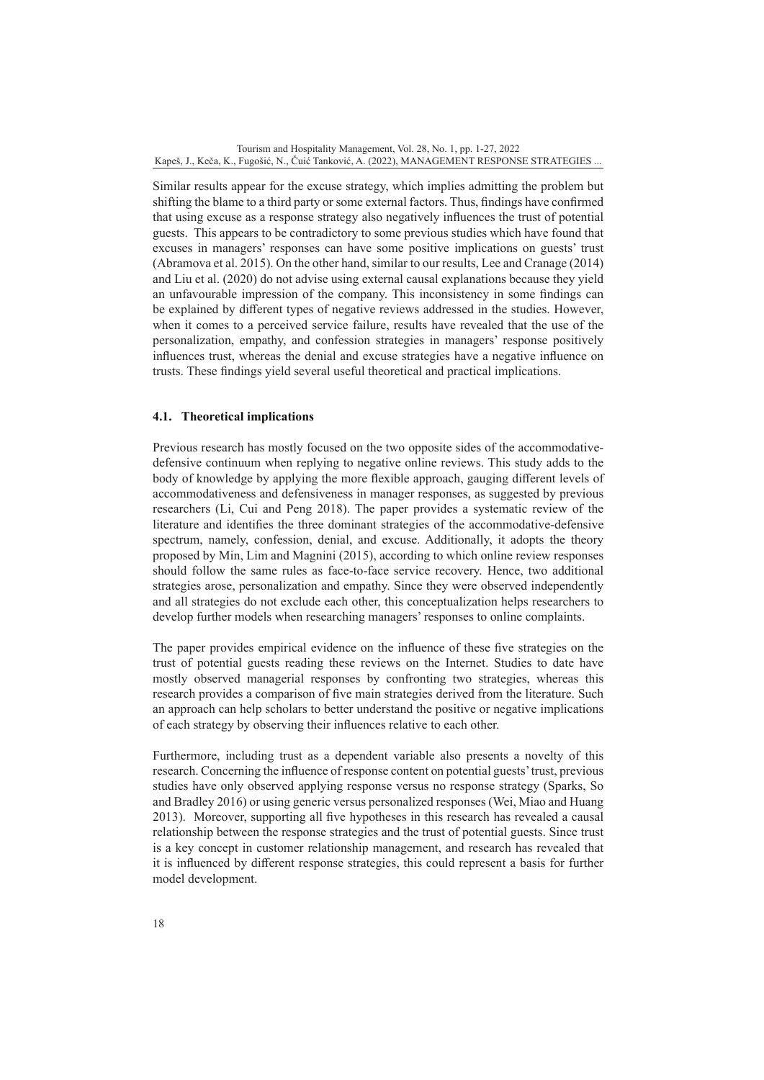Similar results appear for the excuse strategy, which implies admitting the problem but shifting the blame to a third party or some external factors. Thus, findings have confirmed that using excuse as a response strategy also negatively influences the trust of potential guests. This appears to be contradictory to some previous studies which have found that excuses in managers' responses can have some positive implications on guests' trust (Abramova et al. 2015). On the other hand, similar to our results, Lee and Cranage (2014) and Liu et al. (2020) do not advise using external causal explanations because they yield an unfavourable impression of the company. This inconsistency in some findings can be explained by different types of negative reviews addressed in the studies. However, when it comes to a perceived service failure, results have revealed that the use of the personalization, empathy, and confession strategies in managers' response positively influences trust, whereas the denial and excuse strategies have a negative influence on trusts. These findings yield several useful theoretical and practical implications.

## **4.1. Theoretical implications**

Previous research has mostly focused on the two opposite sides of the accommodativedefensive continuum when replying to negative online reviews. This study adds to the body of knowledge by applying the more flexible approach, gauging different levels of accommodativeness and defensiveness in manager responses, as suggested by previous researchers (Li, Cui and Peng 2018). The paper provides a systematic review of the literature and identifies the three dominant strategies of the accommodative-defensive spectrum, namely, confession, denial, and excuse. Additionally, it adopts the theory proposed by Min, Lim and Magnini (2015), according to which online review responses should follow the same rules as face-to-face service recovery. Hence, two additional strategies arose, personalization and empathy. Since they were observed independently and all strategies do not exclude each other, this conceptualization helps researchers to develop further models when researching managers' responses to online complaints.

The paper provides empirical evidence on the influence of these five strategies on the trust of potential guests reading these reviews on the Internet. Studies to date have mostly observed managerial responses by confronting two strategies, whereas this research provides a comparison of five main strategies derived from the literature. Such an approach can help scholars to better understand the positive or negative implications of each strategy by observing their influences relative to each other.

Furthermore, including trust as a dependent variable also presents a novelty of this research. Concerning the influence of response content on potential guests' trust, previous studies have only observed applying response versus no response strategy (Sparks, So and Bradley 2016) or using generic versus personalized responses (Wei, Miao and Huang 2013). Moreover, supporting all five hypotheses in this research has revealed a causal relationship between the response strategies and the trust of potential guests. Since trust is a key concept in customer relationship management, and research has revealed that it is influenced by different response strategies, this could represent a basis for further model development.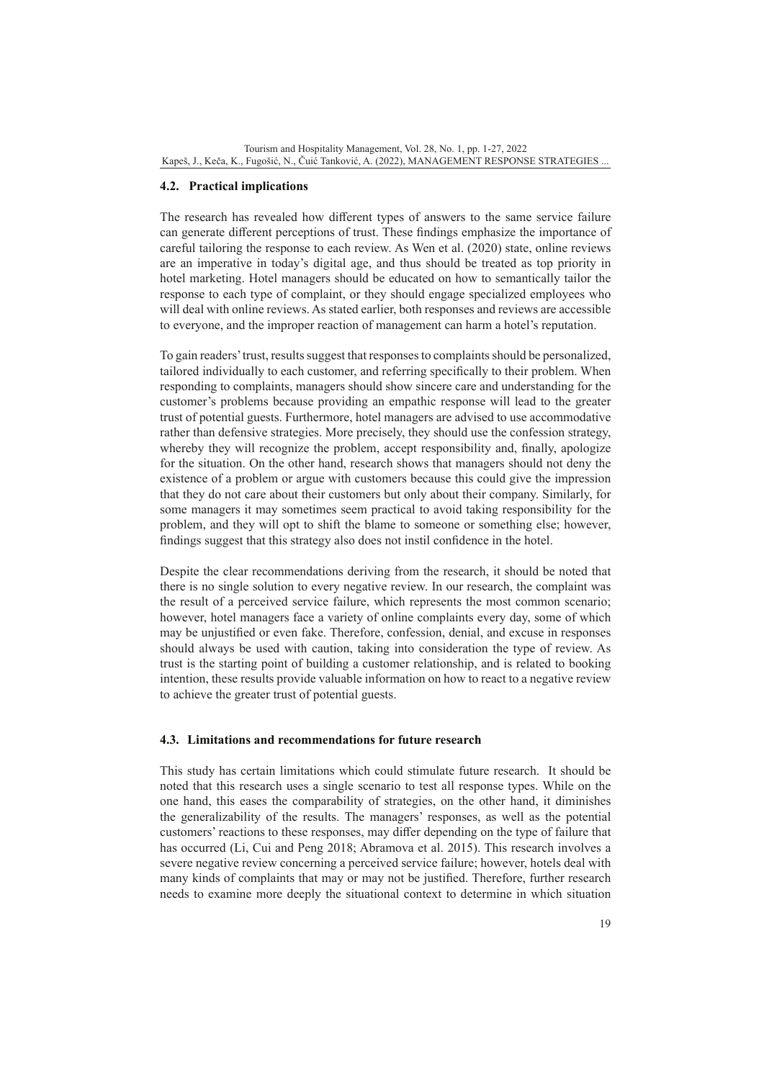## **4.2. Practical implications**

The research has revealed how different types of answers to the same service failure can generate different perceptions of trust. These findings emphasize the importance of careful tailoring the response to each review. As Wen et al. (2020) state, online reviews are an imperative in today's digital age, and thus should be treated as top priority in hotel marketing. Hotel managers should be educated on how to semantically tailor the response to each type of complaint, or they should engage specialized employees who will deal with online reviews. As stated earlier, both responses and reviews are accessible to everyone, and the improper reaction of management can harm a hotel's reputation.

To gain readers' trust, results suggest that responses to complaints should be personalized, tailored individually to each customer, and referring specifically to their problem. When responding to complaints, managers should show sincere care and understanding for the customer's problems because providing an empathic response will lead to the greater trust of potential guests. Furthermore, hotel managers are advised to use accommodative rather than defensive strategies. More precisely, they should use the confession strategy, whereby they will recognize the problem, accept responsibility and, finally, apologize for the situation. On the other hand, research shows that managers should not deny the existence of a problem or argue with customers because this could give the impression that they do not care about their customers but only about their company. Similarly, for some managers it may sometimes seem practical to avoid taking responsibility for the problem, and they will opt to shift the blame to someone or something else; however, findings suggest that this strategy also does not instil confidence in the hotel.

Despite the clear recommendations deriving from the research, it should be noted that there is no single solution to every negative review. In our research, the complaint was the result of a perceived service failure, which represents the most common scenario; however, hotel managers face a variety of online complaints every day, some of which may be unjustified or even fake. Therefore, confession, denial, and excuse in responses should always be used with caution, taking into consideration the type of review. As trust is the starting point of building a customer relationship, and is related to booking intention, these results provide valuable information on how to react to a negative review to achieve the greater trust of potential guests.

### **4.3. Limitations and recommendations for future research**

This study has certain limitations which could stimulate future research. It should be noted that this research uses a single scenario to test all response types. While on the one hand, this eases the comparability of strategies, on the other hand, it diminishes the generalizability of the results. The managers' responses, as well as the potential customers' reactions to these responses, may differ depending on the type of failure that has occurred (Li, Cui and Peng 2018; Abramova et al. 2015). This research involves a severe negative review concerning a perceived service failure; however, hotels deal with many kinds of complaints that may or may not be justified. Therefore, further research needs to examine more deeply the situational context to determine in which situation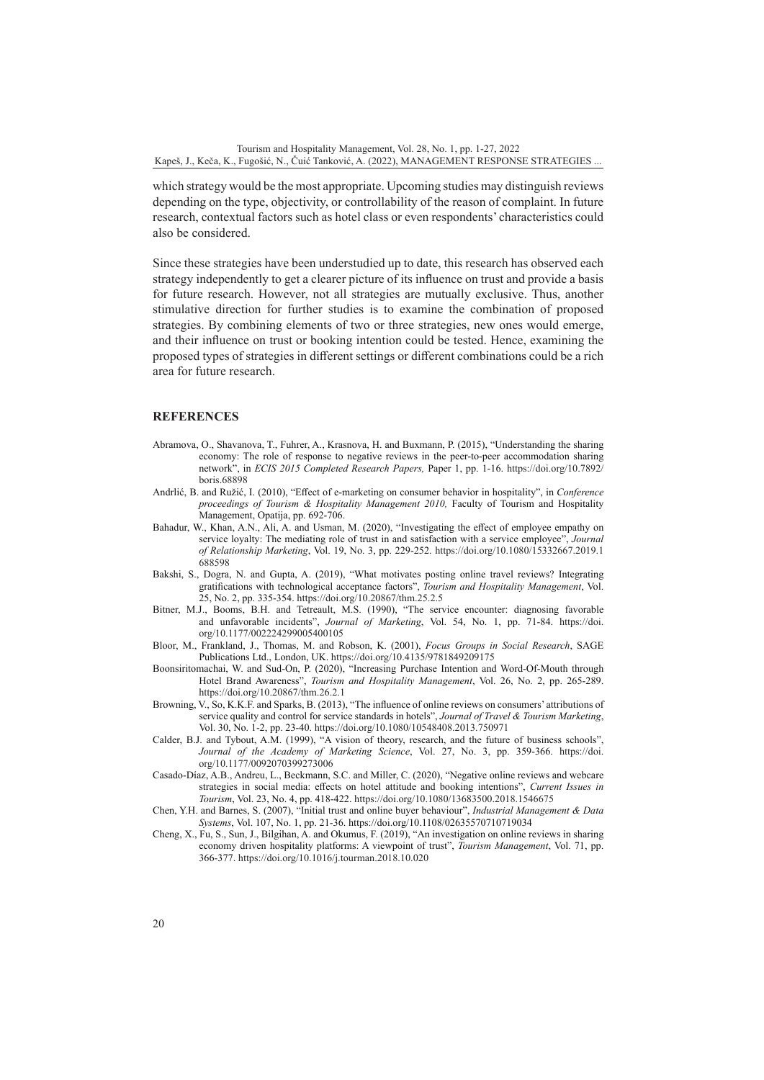which strategy would be the most appropriate. Upcoming studies may distinguish reviews depending on the type, objectivity, or controllability of the reason of complaint. In future research, contextual factors such as hotel class or even respondents' characteristics could also be considered.

Since these strategies have been understudied up to date, this research has observed each strategy independently to get a clearer picture of its influence on trust and provide a basis for future research. However, not all strategies are mutually exclusive. Thus, another stimulative direction for further studies is to examine the combination of proposed strategies. By combining elements of two or three strategies, new ones would emerge, and their influence on trust or booking intention could be tested. Hence, examining the proposed types of strategies in different settings or different combinations could be a rich area for future research.

#### **REFERENCES**

- Abramova, O., Shavanova, T., Fuhrer, A., Krasnova, H. and Buxmann, P. (2015), "Understanding the sharing economy: The role of response to negative reviews in the peer-to-peer accommodation sharing network", in *ECIS 2015 Completed Research Papers,* Paper 1, pp. 1-16. [https://doi.org/10.7892/](https://doi.org/10.7892/boris.68898) [boris.68898](https://doi.org/10.7892/boris.68898)
- Andrlić, B. and Ružić, I. (2010), "Effect of e-marketing on consumer behavior in hospitality", in *Conference proceedings of Tourism & Hospitality Management 2010,* Faculty of Tourism and Hospitality Management, Opatija, pp. 692-706.
- Bahadur, W., Khan, A.N., Ali, A. and Usman, M. (2020), "Investigating the effect of employee empathy on service loyalty: The mediating role of trust in and satisfaction with a service employee", *Journal of Relationship Marketing*, Vol. 19, No. 3, pp. 229-252. [https://doi.org/10.1080/15332667.2019.1](https://doi.org/10.1080/15332667.2019.1688598) [688598](https://doi.org/10.1080/15332667.2019.1688598)
- Bakshi, S., Dogra, N. and Gupta, A. (2019), "What motivates posting online travel reviews? Integrating gratifications with technological acceptance factors", *Tourism and Hospitality Management*, Vol. 25, No. 2, pp. 335-354.<https://doi.org/10.20867/thm.25.2.5>
- Bitner, M.J., Booms, B.H. and Tetreault, M.S. (1990), "The service encounter: diagnosing favorable and unfavorable incidents", *Journal of Marketing*, Vol. 54, No. 1, pp. 71-84. [https://doi.](https://doi.org/10.1177/002224299005400105) [org/10.1177/002224299005400105](https://doi.org/10.1177/002224299005400105)
- Bloor, M., Frankland, J., Thomas, M. and Robson, K. (2001), *Focus Groups in Social Research*, SAGE Publications Ltd., London, UK.<https://doi.org/10.4135/9781849209175>
- Boonsiritomachai, W. and Sud-On, P. (2020), "Increasing Purchase Intention and Word-Of-Mouth through Hotel Brand Awareness", *Tourism and Hospitality Management*, Vol. 26, No. 2, pp. 265-289. <https://doi.org/10.20867/thm.26.2.1>
- Browning, V., So, K.K.F. and Sparks, B. (2013), "The influence of online reviews on consumers' attributions of service quality and control for service standards in hotels", *Journal of Travel & Tourism Marketing*, Vol. 30, No. 1-2, pp. 23-40.<https://doi.org/10.1080/10548408.2013.750971>
- Calder, B.J. and Tybout, A.M. (1999), "A vision of theory, research, and the future of business schools", *Journal of the Academy of Marketing Science*, Vol. 27, No. 3, pp. 359-366. [https://doi.](https://doi.org/10.1177/0092070399273006) [org/10.1177/0092070399273006](https://doi.org/10.1177/0092070399273006)
- Casado-Díaz, A.B., Andreu, L., Beckmann, S.C. and Miller, C. (2020), "Negative online reviews and webcare strategies in social media: effects on hotel attitude and booking intentions", *Current Issues in Tourism*, Vol. 23, No. 4, pp. 418-422.<https://doi.org/10.1080/13683500.2018.1546675>
- Chen, Y.H. and Barnes, S. (2007), "Initial trust and online buyer behaviour", *Industrial Management & Data Systems*, Vol. 107, No. 1, pp. 21-36. https://doi.org/10.1108/02635570710719034
- Cheng, X., Fu, S., Sun, J., Bilgihan, A. and Okumus, F. (2019), "An investigation on online reviews in sharing economy driven hospitality platforms: A viewpoint of trust", *Tourism Management*, Vol. 71, pp. 366-377. <https://doi.org/10.1016/j.tourman.2018.10.020>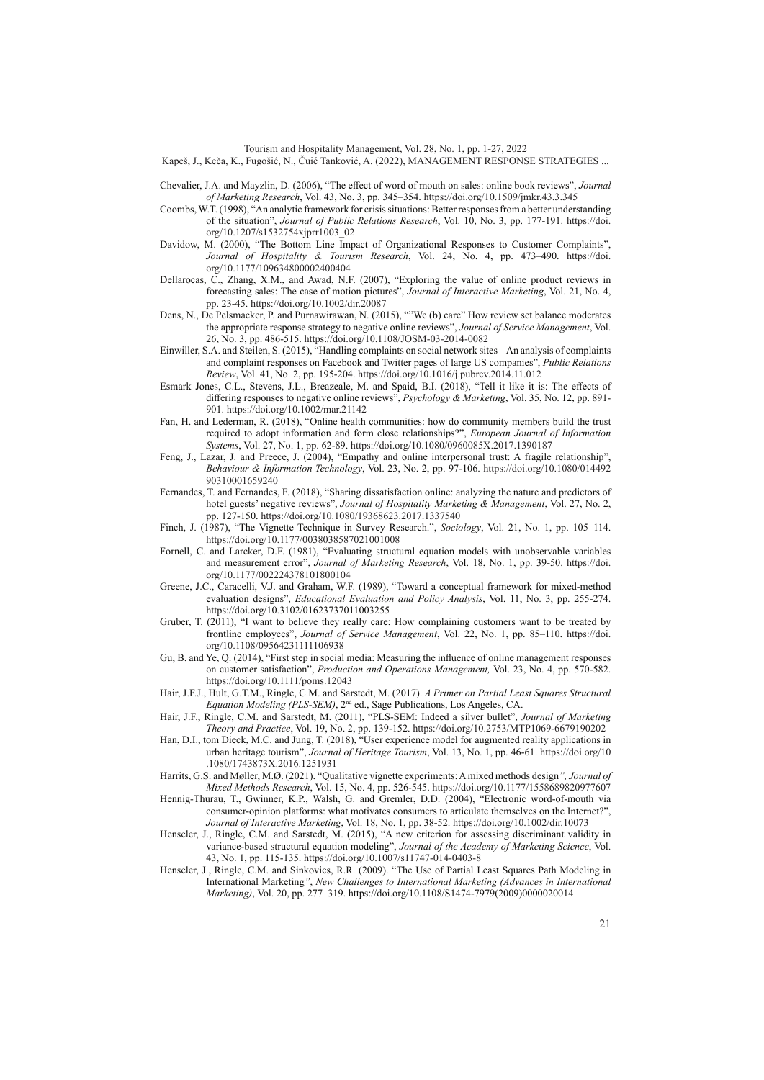Tourism and Hospitality Management, Vol. 28, No. 1, pp. 1-27, 2022

Kapeš, J., Keča, K., Fugošić, N., Čuić Tanković, A. (2022), MANAGEMENT RESPONSE STRATEGIES ...

- Chevalier, J.A. and Mayzlin, D. (2006), "The effect of word of mouth on sales: online book reviews", *Journal of Marketing Research*, Vol. 43, No. 3, pp. 345–354.<https://doi.org/10.1509/jmkr.43.3.345>
- Coombs, W.T. (1998), "An analytic framework for crisis situations: Better responses from a better understanding of the situation", *Journal of Public Relations Research*, Vol. 10, No. 3, pp. 177-191. [https://doi.](https://doi.org/10.1207/s1532754xjprr1003_02) [org/10.1207/s1532754xjprr1003\\_02](https://doi.org/10.1207/s1532754xjprr1003_02)
- Davidow, M. (2000), "The Bottom Line Impact of Organizational Responses to Customer Complaints", *Journal of Hospitality & Tourism Research*, Vol. 24, No. 4, pp. 473–490. [https://doi.](https://doi.org/10.1177/109634800002400404) [org/10.1177/109634800002400404](https://doi.org/10.1177/109634800002400404)
- Dellarocas, C., Zhang, X.M., and Awad, N.F. (2007), "Exploring the value of online product reviews in forecasting sales: The case of motion pictures", *Journal of Interactive Marketing*, Vol. 21, No. 4, pp. 23-45.<https://doi.org/10.1002/dir.20087>
- Dens, N., De Pelsmacker, P. and Purnawirawan, N. (2015), ""We (b) care" How review set balance moderates the appropriate response strategy to negative online reviews", *Journal of Service Management*, Vol. 26, No. 3, pp. 486-515.<https://doi.org/10.1108/JOSM-03-2014-0082>
- Einwiller, S.A. and Steilen, S. (2015), "Handling complaints on social network sites An analysis of complaints and complaint responses on Facebook and Twitter pages of large US companies", *Public Relations Review*, Vol. 41, No. 2, pp. 195-204.<https://doi.org/10.1016/j.pubrev.2014.11.012>
- Esmark Jones, C.L., Stevens, J.L., Breazeale, M. and Spaid, B.I. (2018), "Tell it like it is: The effects of differing responses to negative online reviews", *Psychology & Marketing*, Vol. 35, No. 12, pp. 891- 901. <https://doi.org/10.1002/mar.21142>
- Fan, H. and Lederman, R. (2018), "Online health communities: how do community members build the trust required to adopt information and form close relationships?", *European Journal of Information Systems*, Vol. 27, No. 1, pp. 62-89.<https://doi.org/10.1080/0960085X.2017.1390187>
- Feng, J., Lazar, J. and Preece, J. (2004), "Empathy and online interpersonal trust: A fragile relationship", *Behaviour & Information Technology*, Vol. 23, No. 2, pp. 97-106. [https://doi.org/10.1080/014492](https://doi.org/10.1080/01449290310001659240) [90310001659240](https://doi.org/10.1080/01449290310001659240)
- Fernandes, T. and Fernandes, F. (2018), "Sharing dissatisfaction online: analyzing the nature and predictors of hotel guests' negative reviews", *Journal of Hospitality Marketing & Management*, Vol. 27, No. 2, pp. 127-150.<https://doi.org/10.1080/19368623.2017.1337540>
- Finch, J. (1987), "The Vignette Technique in Survey Research.", *Sociology*, Vol. 21, No. 1, pp. 105–114. <https://doi.org/10.1177/0038038587021001008>
- Fornell, C. and Larcker, D.F. (1981), "Evaluating structural equation models with unobservable variables and measurement error", *Journal of Marketing Research*, Vol. 18, No. 1, pp. 39-50. [https://doi.](https://doi.org/10.1177/002224378101800104) [org/10.1177/002224378101800104](https://doi.org/10.1177/002224378101800104)
- Greene, J.C., Caracelli, V.J. and Graham, W.F. (1989), "Toward a conceptual framework for mixed-method evaluation designs", *Educational Evaluation and Policy Analysis*, Vol. 11, No. 3, pp. 255-274. https://doi.org/10.3102/01623737011003255
- Gruber, T. (2011), "I want to believe they really care: How complaining customers want to be treated by frontline employees", *Journal of Service Management*, Vol. 22, No. 1, pp. 85–110. [https://doi.](https://doi.org/10.1108/09564231111106938) [org/10.1108/09564231111106938](https://doi.org/10.1108/09564231111106938)
- Gu, B. and Ye, Q. (2014), "First step in social media: Measuring the influence of online management responses on customer satisfaction", *Production and Operations Management,* Vol. 23, No. 4, pp. 570-582. <https://doi.org/10.1111/poms.12043>
- Hair, J.F.J., Hult, G.T.M., Ringle, C.M. and Sarstedt, M. (2017). *A Primer on Partial Least Squares Structural Equation Modeling (PLS-SEM)*, 2nd ed., Sage Publications, Los Angeles, CA.
- Hair, J.F., Ringle, C.M. and Sarstedt, M. (2011), "PLS-SEM: Indeed a silver bullet", *Journal of Marketing Theory and Practice*, Vol. 19, No. 2, pp. 139-152. <https://doi.org/10.2753/MTP1069-6679190202>
- Han, D.I., tom Dieck, M.C. and Jung, T. (2018), "User experience model for augmented reality applications in urban heritage tourism", *Journal of Heritage Tourism*, Vol. 13, No. 1, pp. 46-61. [https://doi.org/10](https://doi.org/10.1080/1743873X.2016.1251931) [.1080/1743873X.2016.1251931](https://doi.org/10.1080/1743873X.2016.1251931)
- Harrits, G.S. and Møller, M.Ø. (2021). "Qualitative vignette experiments: A mixed methods design*", Journal of Mixed Methods Research*, Vol. 15, No. 4, pp. 526-545. [https://doi.org/10.1177/1558689820977607](https://doi.org/10.1177%2F1558689820977607)
- Hennig-Thurau, T., Gwinner, K.P., Walsh, G. and Gremler, D.D. (2004), "Electronic word-of-mouth via consumer-opinion platforms: what motivates consumers to articulate themselves on the Internet?", *Journal of Interactive Marketing*, Vol. 18, No. 1, pp. 38-52.<https://doi.org/10.1002/dir.10073>
- Henseler, J., Ringle, C.M. and Sarstedt, M. (2015), "A new criterion for assessing discriminant validity in variance-based structural equation modeling", *Journal of the Academy of Marketing Science*, Vol. 43, No. 1, pp. 115-135. <https://doi.org/10.1007/s11747-014-0403-8>
- Henseler, J., Ringle, C.M. and Sinkovics, R.R. (2009). "The Use of Partial Least Squares Path Modeling in International Marketing*"*, *New Challenges to International Marketing (Advances in International Marketing)*, Vol. 20, pp. 277–319. https://doi.org/10.1108/S1474-7979(2009)0000020014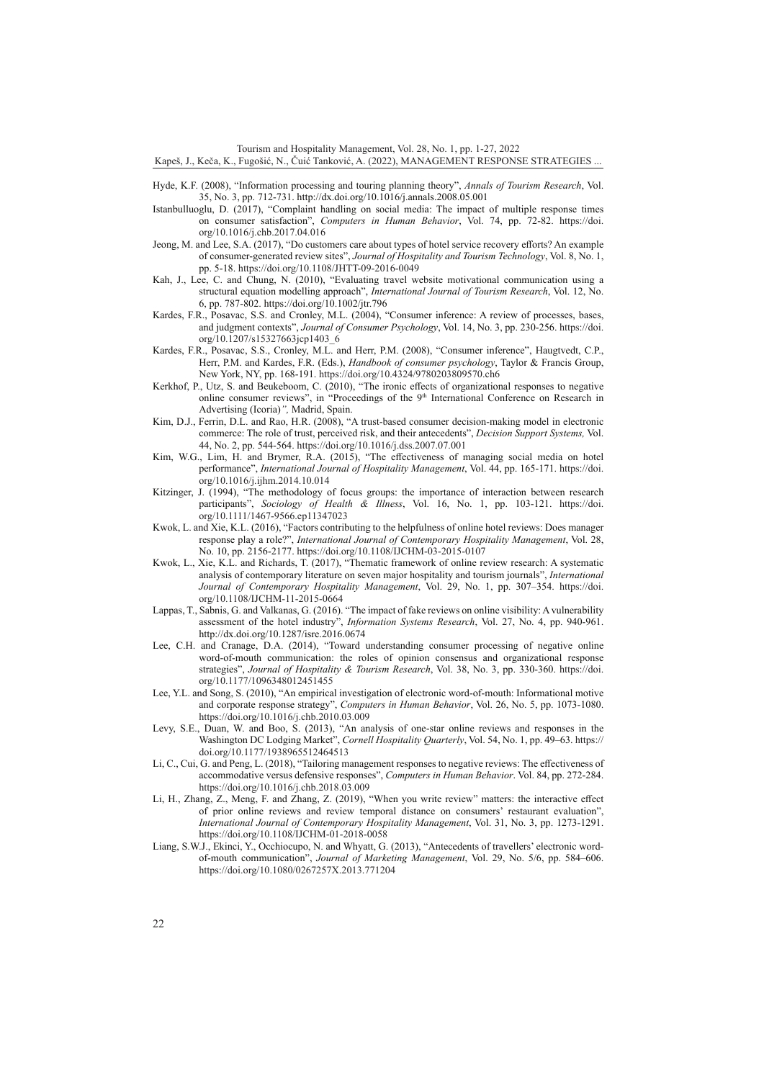Tourism and Hospitality Management, Vol. 28, No. 1, pp. 1-27, 2022

Kapeš, J., Keča, K., Fugošić, N., Čuić Tanković, A. (2022), MANAGEMENT RESPONSE STRATEGIES ...

- Hyde, K.F. (2008), "Information processing and touring planning theory", *Annals of Tourism Research*, Vol. 35, No. 3, pp. 712-731. http://dx.doi.org/10.1016/j.annals.2008.05.001
- Istanbulluoglu, D. (2017), "Complaint handling on social media: The impact of multiple response times on consumer satisfaction", *Computers in Human Behavior*, Vol. 74, pp. 72-82. [https://doi.](https://doi.org/10.1016/j.chb.2017.04.016) [org/10.1016/j.chb.2017.04.016](https://doi.org/10.1016/j.chb.2017.04.016)
- Jeong, M. and Lee, S.A. (2017), "Do customers care about types of hotel service recovery efforts? An example of consumer-generated review sites", *Journal of Hospitality and Tourism Technology*, Vol. 8, No. 1, pp. 5-18. <https://doi.org/10.1108/JHTT-09-2016-0049>
- Kah, J., Lee, C. and Chung, N. (2010), "Evaluating travel website motivational communication using a structural equation modelling approach", *International Journal of Tourism Research*, Vol. 12, No. 6, pp. 787-802. https://doi.org/10.1002/jtr.796
- Kardes, F.R., Posavac, S.S. and Cronley, M.L. (2004), "Consumer inference: A review of processes, bases, and judgment contexts", *Journal of Consumer Psychology*, Vol. 14, No. 3, pp. 230-256. [https://doi.](https://doi.org/10.1207/s15327663jcp1403_6) [org/10.1207/s15327663jcp1403\\_6](https://doi.org/10.1207/s15327663jcp1403_6)
- Kardes, F.R., Posavac, S.S., Cronley, M.L. and Herr, P.M. (2008), "Consumer inference", Haugtvedt, C.P., Herr, P.M. and Kardes, F.R. (Eds.), *Handbook of consumer psychology*, Taylor & Francis Group, New York, NY, pp. 168-191. <https://doi.org/10.4324/9780203809570.ch6>
- Kerkhof, P., Utz, S. and Beukeboom, C. (2010), "The ironic effects of organizational responses to negative online consumer reviews", in "Proceedings of the 9<sup>th</sup> International Conference on Research in Advertising (Icoria)*",* Madrid, Spain.
- Kim, D.J., Ferrin, D.L. and Rao, H.R. (2008), "A trust-based consumer decision-making model in electronic commerce: The role of trust, perceived risk, and their antecedents", *Decision Support Systems,* Vol. 44, No. 2, pp. 544-564.<https://doi.org/10.1016/j.dss.2007.07.001>
- Kim, W.G., Lim, H. and Brymer, R.A. (2015), "The effectiveness of managing social media on hotel performance", *International Journal of Hospitality Management*, Vol. 44, pp. 165-171. [https://doi.](https://doi.org/10.1016/j.ijhm.2014.10.014) [org/10.1016/j.ijhm.2014.10.014](https://doi.org/10.1016/j.ijhm.2014.10.014)
- Kitzinger, J. (1994), "The methodology of focus groups: the importance of interaction between research participants", *Sociology of Health & Illness*, Vol. 16, No. 1, pp. 103-121. [https://doi.](https://doi.org/10.1111/1467-9566.ep11347023) [org/10.1111/1467-9566.ep11347023](https://doi.org/10.1111/1467-9566.ep11347023)
- Kwok, L. and Xie, K.L. (2016), "Factors contributing to the helpfulness of online hotel reviews: Does manager response play a role?", *International Journal of Contemporary Hospitality Management*, Vol. 28, No. 10, pp. 2156-2177.<https://doi.org/10.1108/IJCHM-03-2015-0107>
- Kwok, L., Xie, K.L. and Richards, T. (2017), "Thematic framework of online review research: A systematic analysis of contemporary literature on seven major hospitality and tourism journals", *International Journal of Contemporary Hospitality Management*, Vol. 29, No. 1, pp. 307–354. [https://doi.](https://doi.org/10.1108/IJCHM-11-2015-0664) [org/10.1108/IJCHM-11-2015-0664](https://doi.org/10.1108/IJCHM-11-2015-0664)
- Lappas, T., Sabnis, G. and Valkanas, G. (2016). "The impact of fake reviews on online visibility: A vulnerability assessment of the hotel industry", *Information Systems Research*, Vol. 27, No. 4, pp. 940-961. http://dx.doi.org/10.1287/isre.2016.0674
- Lee, C.H. and Cranage, D.A. (2014), "Toward understanding consumer processing of negative online word-of-mouth communication: the roles of opinion consensus and organizational response strategies", *Journal of Hospitality & Tourism Research*, Vol. 38, No. 3, pp. 330-360. [https://doi.](https://doi.org/10.1177/1096348012451455) [org/10.1177/1096348012451455](https://doi.org/10.1177/1096348012451455)
- Lee, Y.L. and Song, S. (2010), "An empirical investigation of electronic word-of-mouth: Informational motive and corporate response strategy", *Computers in Human Behavior*, Vol. 26, No. 5, pp. 1073-1080. <https://doi.org/10.1016/j.chb.2010.03.009>
- Levy, S.E., Duan, W. and Boo, S. (2013), "An analysis of one-star online reviews and responses in the Washington DC Lodging Market", *Cornell Hospitality Quarterly*, Vol. 54, No. 1, pp. 49–63. [https://](https://doi.org/10.1177/1938965512464513) [doi.org/10.1177/1938965512464513](https://doi.org/10.1177/1938965512464513)
- Li, C., Cui, G. and Peng, L. (2018), "Tailoring management responses to negative reviews: The effectiveness of accommodative versus defensive responses", *Computers in Human Behavior*. Vol. 84, pp. 272-284. <https://doi.org/10.1016/j.chb.2018.03.009>
- Li, H., Zhang, Z., Meng, F. and Zhang, Z. (2019), "When you write review" matters: the interactive effect of prior online reviews and review temporal distance on consumers' restaurant evaluation", *International Journal of Contemporary Hospitality Management*, Vol. 31, No. 3, pp. 1273-1291. <https://doi.org/10.1108/IJCHM-01-2018-0058>
- Liang, S.W.J., Ekinci, Y., Occhiocupo, N. and Whyatt, G. (2013), "Antecedents of travellers' electronic wordof-mouth communication", *Journal of Marketing Management*, Vol. 29, No. 5/6, pp. 584–606. <https://doi.org/10.1080/0267257X.2013.771204>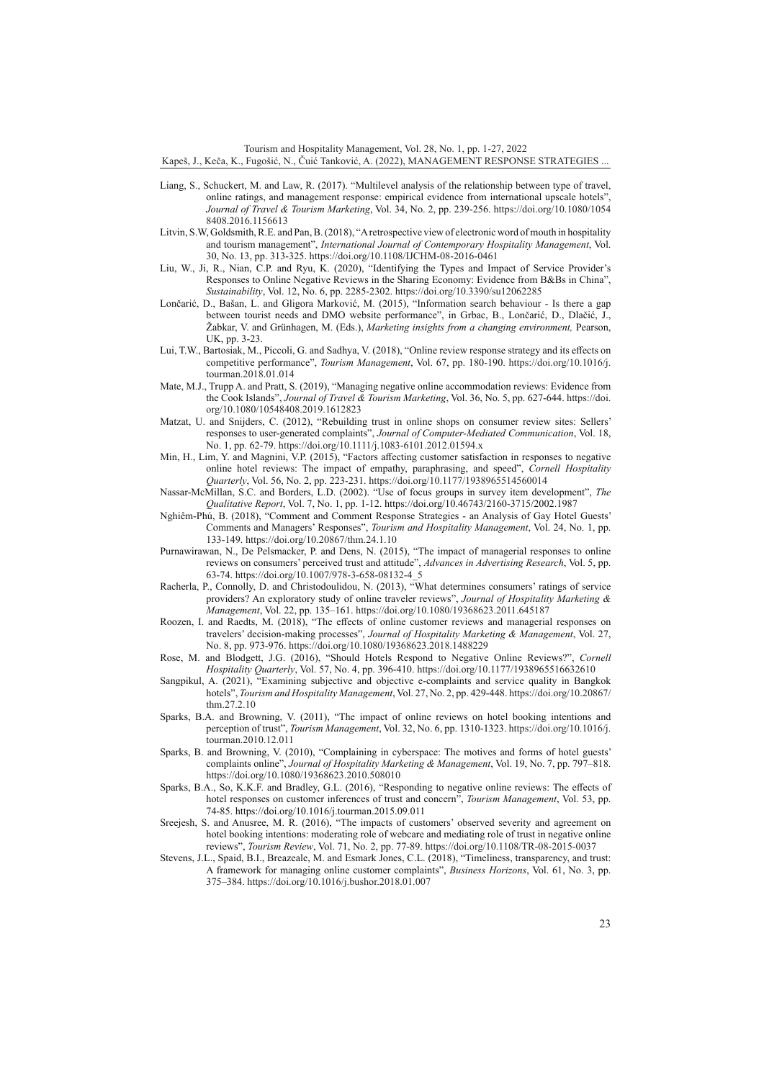Tourism and Hospitality Management, Vol. 28, No. 1, pp. 1-27, 2022 Kapeš, J., Keča, K., Fugošić, N., Čuić Tanković, A. (2022), MANAGEMENT RESPONSE STRATEGIES ...

- Liang, S., Schuckert, M. and Law, R. (2017). "Multilevel analysis of the relationship between type of travel, online ratings, and management response: empirical evidence from international upscale hotels", *Journal of Travel & Tourism Marketing*, Vol. 34, No. 2, pp. 239-256. [https://doi.org/10.1080/1054](https://doi.org/10.1080/10548408.2016.1156613) [8408.2016.1156613](https://doi.org/10.1080/10548408.2016.1156613)
- Litvin, S.W, Goldsmith, R.E. and Pan, B. (2018), "A retrospective view of electronic word of mouth in hospitality and tourism management", *International Journal of Contemporary Hospitality Management*, Vol. 30, No. 13, pp. 313-325.<https://doi.org/10.1108/IJCHM-08-2016-0461>
- Liu, W., Ji, R., Nian, C.P. and Ryu, K. (2020), "Identifying the Types and Impact of Service Provider's Responses to Online Negative Reviews in the Sharing Economy: Evidence from B&Bs in China", *Sustainability*, Vol. 12, No. 6, pp. 2285-2302. <https://doi.org/10.3390/su12062285>
- Lončarić, D., Bašan, L. and Gligora Marković, M. (2015), "Information search behaviour Is there a gap between tourist needs and DMO website performance", in Grbac, B., Lončarić, D., Dlačić, J., Žabkar, V. and Grünhagen, M. (Eds.), *Marketing insights from a changing environment,* Pearson, UK, pp. 3-23.
- Lui, T.W., Bartosiak, M., Piccoli, G. and Sadhya, V. (2018), "Online review response strategy and its effects on competitive performance", *Tourism Management*, Vol. 67, pp. 180-190. [https://doi.org/10.1016/j.](https://doi.org/10.1016/j.tourman.2018.01.014) [tourman.2018.01.014](https://doi.org/10.1016/j.tourman.2018.01.014)
- Mate, M.J., Trupp A. and Pratt, S. (2019), "Managing negative online accommodation reviews: Evidence from the Cook Islands", *Journal of Travel & Tourism Marketing*, Vol. 36, No. 5, pp. 627-644. [https://doi.](https://doi.org/10.1080/10548408.2019.1612823) [org/10.1080/10548408.2019.1612823](https://doi.org/10.1080/10548408.2019.1612823)
- Matzat, U. and Snijders, C. (2012), "Rebuilding trust in online shops on consumer review sites: Sellers' responses to user-generated complaints", *Journal of Computer-Mediated Communication*, Vol. 18, No. 1, pp. 62-79.<https://doi.org/10.1111/j.1083-6101.2012.01594.x>
- Min, H., Lim, Y. and Magnini, V.P. (2015), "Factors affecting customer satisfaction in responses to negative online hotel reviews: The impact of empathy, paraphrasing, and speed", *Cornell Hospitality Quarterly*, Vol. 56, No. 2, pp. 223-231. <https://doi.org/10.1177/1938965514560014>
- Nassar-McMillan, S.C. and Borders, L.D. (2002). "Use of focus groups in survey item development", *The Qualitative Report*, Vol. 7, No. 1, pp. 1-12. https://doi.org/10.46743/2160-3715/2002.1987
- Nghiêm-Phú, B. (2018), "Comment and Comment Response Strategies an Analysis of Gay Hotel Guests' Comments and Managers' Responses", *Tourism and Hospitality Management*, Vol. 24, No. 1, pp. 133-149.<https://doi.org/10.20867/thm.24.1.10>
- Purnawirawan, N., De Pelsmacker, P. and Dens, N. (2015), "The impact of managerial responses to online reviews on consumers' perceived trust and attitude", *Advances in Advertising Research*, Vol. 5, pp. 63-74. [https://doi.org/10.1007/978-3-658-08132-4\\_5](https://doi.org/10.1007/978-3-658-08132-4_5)
- Racherla, P., Connolly, D. and Christodoulidou, N. (2013), "What determines consumers' ratings of service providers? An exploratory study of online traveler reviews", *Journal of Hospitality Marketing & Management*, Vol. 22, pp. 135–161.<https://doi.org/10.1080/19368623.2011.645187>
- Roozen, I. and Raedts, M. (2018), "The effects of online customer reviews and managerial responses on travelers' decision-making processes", *Journal of Hospitality Marketing & Management*, Vol. 27, No. 8, pp. 973-976.<https://doi.org/10.1080/19368623.2018.1488229>
- Rose, M. and Blodgett, J.G. (2016), "Should Hotels Respond to Negative Online Reviews?", *Cornell Hospitality Quarterly*, Vol. 57, No. 4, pp. 396-410.<https://doi.org/10.1177/1938965516632610>
- Sangpikul, A. (2021), "Examining subjective and objective e-complaints and service quality in Bangkok hotels", *Tourism and Hospitality Management*, Vol. 27, No. 2, pp. 429-448. [https://doi.org/10.20867/](https://doi.org/10.20867/thm.27.2.10) [thm.27.2.10](https://doi.org/10.20867/thm.27.2.10)
- Sparks, B.A. and Browning, V. (2011), "The impact of online reviews on hotel booking intentions and perception of trust", *Tourism Management*, Vol. 32, No. 6, pp. 1310-1323. [https://doi.org/10.1016/j.](https://doi.org/10.1016/j.tourman.2010.12.011) [tourman.2010.12.011](https://doi.org/10.1016/j.tourman.2010.12.011)
- Sparks, B. and Browning, V. (2010), "Complaining in cyberspace: The motives and forms of hotel guests' complaints online", *Journal of Hospitality Marketing & Management*, Vol. 19, No. 7, pp. 797–818. <https://doi.org/10.1080/19368623.2010.508010>
- Sparks, B.A., So, K.K.F. and Bradley, G.L. (2016), "Responding to negative online reviews: The effects of hotel responses on customer inferences of trust and concern", *Tourism Management*, Vol. 53, pp. 74-85. https://doi.org/10.1016/j.tourman.2015.09.011
- Sreejesh, S. and Anusree, M. R. (2016), "The impacts of customers' observed severity and agreement on hotel booking intentions: moderating role of webcare and mediating role of trust in negative online reviews", *Tourism Review*, Vol. 71, No. 2, pp. 77-89. <https://doi.org/10.1108/TR-08-2015-0037>
- Stevens, J.L., Spaid, B.I., Breazeale, M. and Esmark Jones, C.L. (2018), "Timeliness, transparency, and trust: A framework for managing online customer complaints", *Business Horizons*, Vol. 61, No. 3, pp. 375–384. <https://doi.org/10.1016/j.bushor.2018.01.007>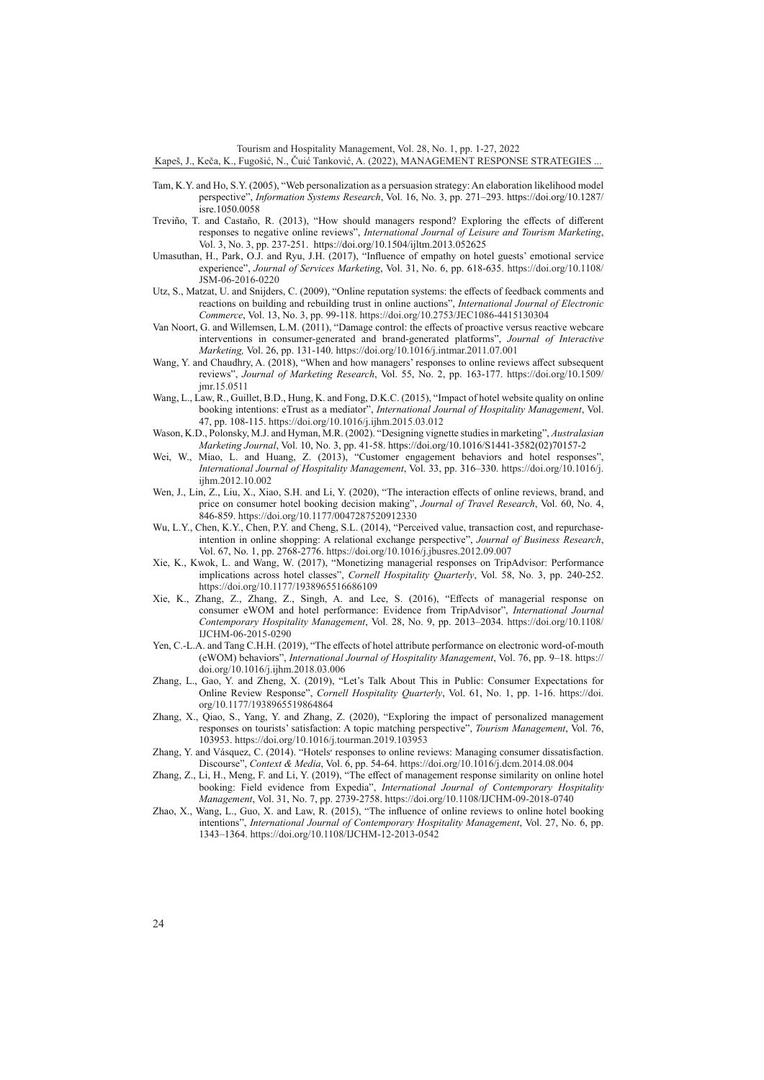Tourism and Hospitality Management, Vol. 28, No. 1, pp. 1-27, 2022

Kapeš, J., Keča, K., Fugošić, N., Čuić Tanković, A. (2022), MANAGEMENT RESPONSE STRATEGIES ...

- Tam, K.Y. and Ho, S.Y. (2005), "Web personalization as a persuasion strategy: An elaboration likelihood model perspective", *Information Systems Research*, Vol. 16, No. 3, pp. 271–293. https://doi.org/10.1287/ isre.1050.0058
- Treviño, T. and Castaño, R. (2013), "How should managers respond? Exploring the effects of different responses to negative online reviews", *International Journal of Leisure and Tourism Marketing*, Vol. 3, No. 3, pp. 237-251. https://doi.org/10.1504/ijltm.2013.052625
- Umasuthan, H., Park, O.J. and Ryu, J.H. (2017), "Influence of empathy on hotel guests' emotional service experience", *Journal of Services Marketing*, Vol. 31, No. 6, pp. 618-635. [https://doi.org/10.1108/](https://doi.org/10.1108/JSM-06-2016-0220) [JSM-06-2016-0220](https://doi.org/10.1108/JSM-06-2016-0220)
- Utz, S., Matzat, U. and Snijders, C. (2009), "Online reputation systems: the effects of feedback comments and reactions on building and rebuilding trust in online auctions", *International Journal of Electronic Commerce*, Vol. 13, No. 3, pp. 99-118.<https://doi.org/10.2753/JEC1086-4415130304>
- Van Noort, G. and Willemsen, L.M. (2011), "Damage control: the effects of proactive versus reactive webcare interventions in consumer-generated and brand-generated platforms", *Journal of Interactive Marketing,* Vol. 26, pp. 131-140. <https://doi.org/10.1016/j.intmar.2011.07.001>
- Wang, Y. and Chaudhry, A. (2018), "When and how managers' responses to online reviews affect subsequent reviews", *Journal of Marketing Research*, Vol. 55, No. 2, pp. 163-177. [https://doi.org/10.1509/](https://doi.org/10.1509/jmr.15.0511) [jmr.15.0511](https://doi.org/10.1509/jmr.15.0511)
- Wang, L., Law, R., Guillet, B.D., Hung, K. and Fong, D.K.C. (2015), "Impact of hotel website quality on online booking intentions: eTrust as a mediator", *International Journal of Hospitality Management*, Vol. 47, pp. 108-115.<https://doi.org/10.1016/j.ijhm.2015.03.012>
- Wason, K.D., Polonsky, M.J. and Hyman, M.R. (2002). "Designing vignette studies in marketing", *Australasian Marketing Journal*, Vol. 10, No. 3, pp. 41-58. https://doi.org/10.1016/S1441-3582(02)70157-2
- Wei, W., Miao, L. and Huang, Z. (2013), "Customer engagement behaviors and hotel responses", *International Journal of Hospitality Management*, Vol. 33, pp. 316–330. [https://doi.org/10.1016/j.](https://doi.org/10.1016/j.ijhm.2012.10.002) [ijhm.2012.10.002](https://doi.org/10.1016/j.ijhm.2012.10.002)
- Wen, J., Lin, Z., Liu, X., Xiao, S.H. and Li, Y. (2020), "The interaction effects of online reviews, brand, and price on consumer hotel booking decision making", *Journal of Travel Research*, Vol. 60, No. 4, 846-859. <https://doi.org/10.1177/0047287520912330>
- Wu, L.Y., Chen, K.Y., Chen, P.Y. and Cheng, S.L. (2014), "Perceived value, transaction cost, and repurchaseintention in online shopping: A relational exchange perspective", *Journal of Business Research*, Vol. 67, No. 1, pp. 2768-2776.<https://doi.org/10.1016/j.jbusres.2012.09.007>
- Xie, K., Kwok, L. and Wang, W. (2017), "Monetizing managerial responses on TripAdvisor: Performance implications across hotel classes", *Cornell Hospitality Quarterly*, Vol. 58, No. 3, pp. 240-252. <https://doi.org/10.1177/1938965516686109>
- Xie, K., Zhang, Z., Zhang, Z., Singh, A. and Lee, S. (2016), "Effects of managerial response on consumer eWOM and hotel performance: Evidence from TripAdvisor", *International Journal Contemporary Hospitality Management*, Vol. 28, No. 9, pp. 2013–2034. [https://doi.org/10.1108/](https://doi.org/10.1108/IJCHM-06-2015-0290) [IJCHM-06-2015-0290](https://doi.org/10.1108/IJCHM-06-2015-0290)
- Yen, C.-L.A. and Tang C.H.H. (2019), "The effects of hotel attribute performance on electronic word-of-mouth (eWOM) behaviors", *International Journal of Hospitality Management*, Vol. 76, pp. 9–18. [https://](https://doi.org/10.1016/j.ijhm.2018.03.006) [doi.org/10.1016/j.ijhm.2018.03.006](https://doi.org/10.1016/j.ijhm.2018.03.006)
- Zhang, L., Gao, Y. and Zheng, X. (2019), "Let's Talk About This in Public: Consumer Expectations for Online Review Response", *Cornell Hospitality Quarterly*, Vol. 61, No. 1, pp. 1-16. [https://doi.](https://doi.org/10.1177/1938965519864864) [org/10.1177/1938965519864864](https://doi.org/10.1177/1938965519864864)
- Zhang, X., Qiao, S., Yang, Y. and Zhang, Z. (2020), "Exploring the impact of personalized management responses on tourists' satisfaction: A topic matching perspective", *Tourism Management*, Vol. 76, 103953.<https://doi.org/10.1016/j.tourman.2019.103953>
- Zhang, Y. and Vásquez, C. (2014). "Hotels׳ responses to online reviews: Managing consumer dissatisfaction. Discourse", *Context & Media*, Vol. 6, pp. 54-64. <https://doi.org/10.1016/j.dcm.2014.08.004>
- Zhang, Z., Li, H., Meng, F. and Li, Y. (2019), "The effect of management response similarity on online hotel booking: Field evidence from Expedia", *International Journal of Contemporary Hospitality Management*, Vol. 31, No. 7, pp. 2739-2758.<https://doi.org/10.1108/IJCHM-09-2018-0740>
- Zhao, X., Wang, L., Guo, X. and Law, R. (2015), "The influence of online reviews to online hotel booking intentions", *International Journal of Contemporary Hospitality Management*, Vol. 27, No. 6, pp. 1343–1364.<https://doi.org/10.1108/IJCHM-12-2013-0542>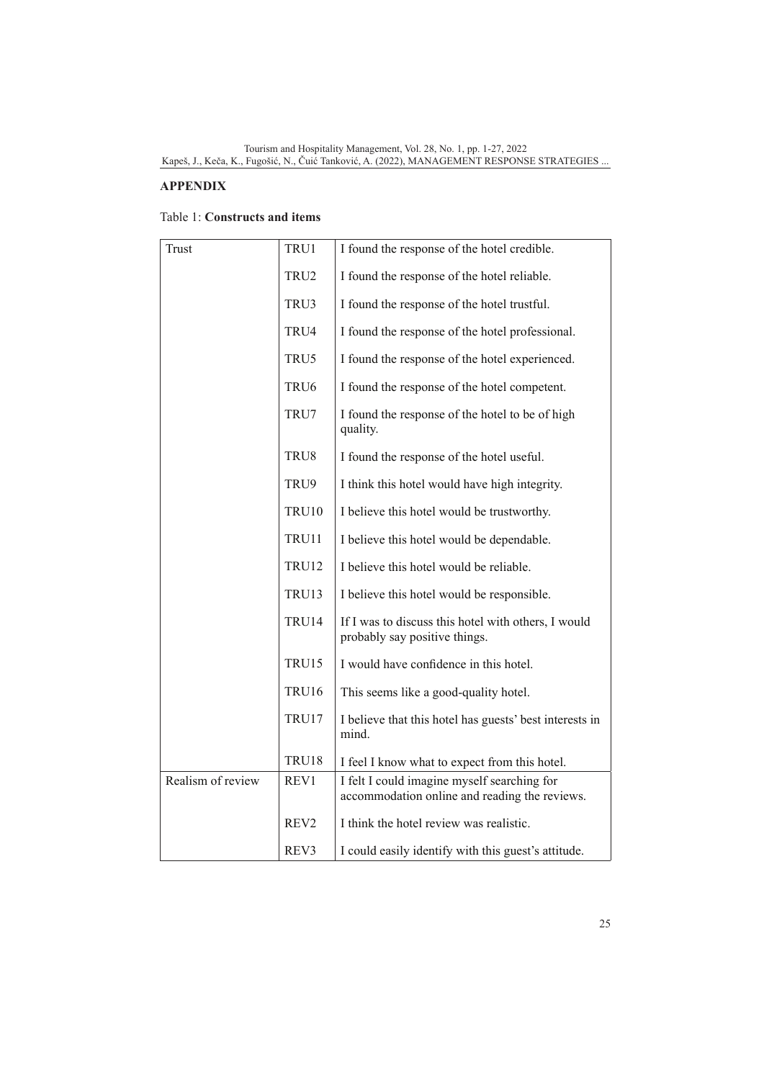# **APPENDIX**

# Table 1: **Constructs and items**

| Trust             | TRU1             | I found the response of the hotel credible.                                                  |
|-------------------|------------------|----------------------------------------------------------------------------------------------|
|                   | TRU2             | I found the response of the hotel reliable.                                                  |
|                   | TRU3             | I found the response of the hotel trustful.                                                  |
|                   | TRU4             | I found the response of the hotel professional.                                              |
|                   | TRU5             | I found the response of the hotel experienced.                                               |
|                   | TRU <sub>6</sub> | I found the response of the hotel competent.                                                 |
|                   | TRU7             | I found the response of the hotel to be of high<br>quality.                                  |
|                   | TRU8             | I found the response of the hotel useful.                                                    |
|                   | TRU9             | I think this hotel would have high integrity.                                                |
|                   | <b>TRU10</b>     | I believe this hotel would be trustworthy.                                                   |
|                   | TRU11            | I believe this hotel would be dependable.                                                    |
|                   | <b>TRU12</b>     | I believe this hotel would be reliable.                                                      |
|                   | TRU13            | I believe this hotel would be responsible.                                                   |
|                   | TRU14            | If I was to discuss this hotel with others, I would<br>probably say positive things.         |
|                   | TRU15            | I would have confidence in this hotel.                                                       |
|                   | TRU16            | This seems like a good-quality hotel.                                                        |
|                   | TRU17            | I believe that this hotel has guests' best interests in<br>mind.                             |
|                   | TRU18            | I feel I know what to expect from this hotel.                                                |
| Realism of review | REV <sub>1</sub> | I felt I could imagine myself searching for<br>accommodation online and reading the reviews. |
|                   | REV <sub>2</sub> | I think the hotel review was realistic.                                                      |
|                   | REV3             | I could easily identify with this guest's attitude.                                          |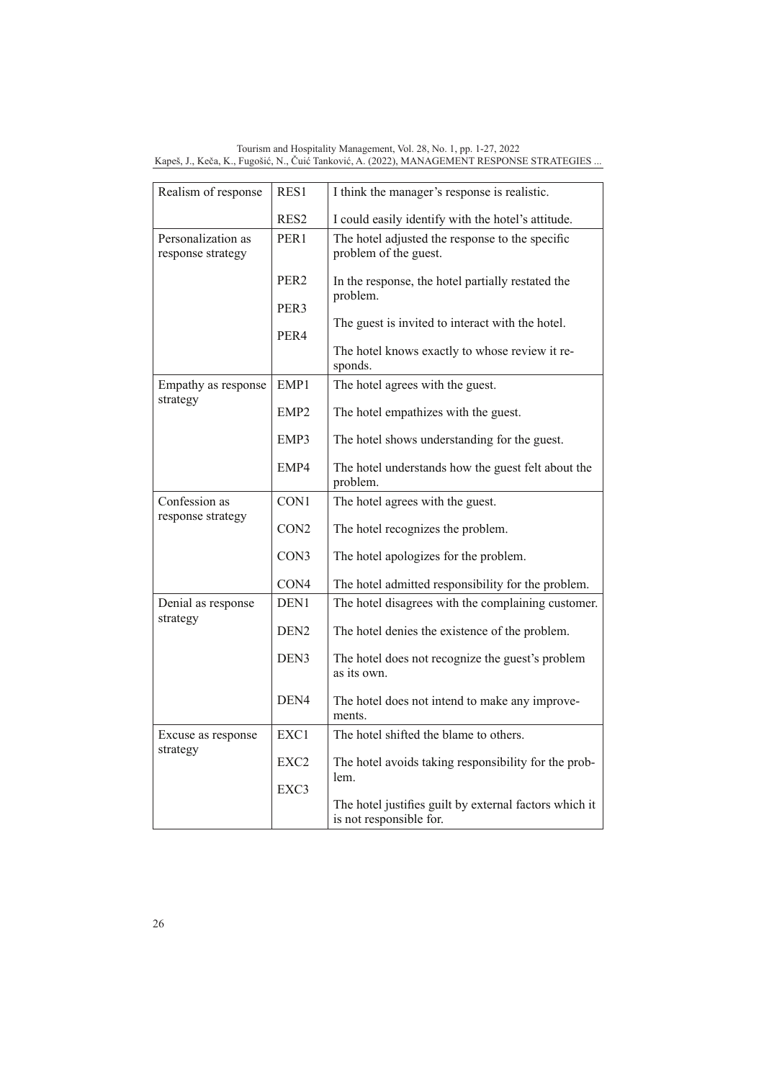| Tourism and Hospitality Management, Vol. 28, No. 1, pp. 1-27, 2022 |                                                                                            |
|--------------------------------------------------------------------|--------------------------------------------------------------------------------------------|
|                                                                    | Kapeš, J., Keča, K., Fugošić, N., Čuić Tanković, A. (2022), MANAGEMENT RESPONSE STRATEGIES |

| Realism of response                     | RES1             | I think the manager's response is realistic.                                      |
|-----------------------------------------|------------------|-----------------------------------------------------------------------------------|
|                                         | RES2             | I could easily identify with the hotel's attitude.                                |
| Personalization as<br>response strategy | PER <sub>1</sub> | The hotel adjusted the response to the specific<br>problem of the guest.          |
|                                         | PER <sub>2</sub> | In the response, the hotel partially restated the<br>problem.                     |
|                                         | PER <sub>3</sub> |                                                                                   |
|                                         | PER4             | The guest is invited to interact with the hotel.                                  |
|                                         |                  | The hotel knows exactly to whose review it re-<br>sponds.                         |
| Empathy as response                     | EMP1             | The hotel agrees with the guest.                                                  |
| strategy                                | EMP <sub>2</sub> | The hotel empathizes with the guest.                                              |
|                                         | EMP3             | The hotel shows understanding for the guest.                                      |
|                                         | EMP4             | The hotel understands how the guest felt about the<br>problem.                    |
| Confession as                           | CON1             | The hotel agrees with the guest.                                                  |
| response strategy                       | CON <sub>2</sub> | The hotel recognizes the problem.                                                 |
|                                         | CON3             | The hotel apologizes for the problem.                                             |
|                                         | CON <sub>4</sub> | The hotel admitted responsibility for the problem.                                |
| Denial as response<br>strategy          | DEN <sub>1</sub> | The hotel disagrees with the complaining customer.                                |
|                                         | DEN <sub>2</sub> | The hotel denies the existence of the problem.                                    |
|                                         | DEN <sub>3</sub> | The hotel does not recognize the guest's problem<br>as its own.                   |
|                                         | DEN <sub>4</sub> | The hotel does not intend to make any improve-<br>ments.                          |
| Excuse as response                      | EXC <sub>1</sub> | The hotel shifted the blame to others.                                            |
| strategy                                | EXC2             | The hotel avoids taking responsibility for the prob-<br>lem.                      |
|                                         | EXC3             |                                                                                   |
|                                         |                  | The hotel justifies guilt by external factors which it<br>is not responsible for. |